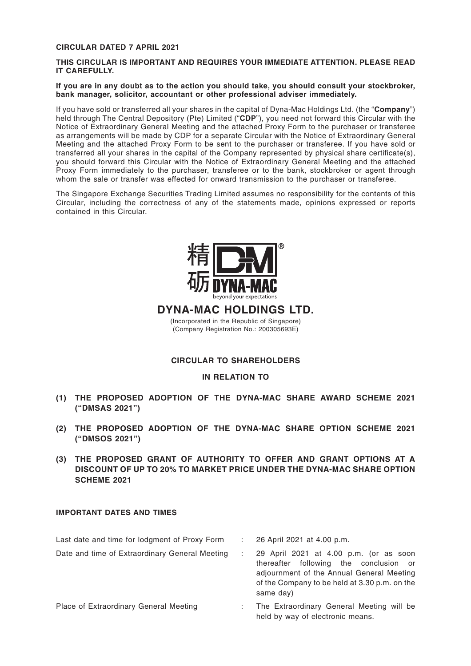#### **CIRCULAR DATED 7 APRIL 2021**

#### **THIS CIRCULAR IS IMPORTANT AND REQUIRES YOUR IMMEDIATE ATTENTION. PLEASE READ IT CAREFULLY.**

#### **If you are in any doubt as to the action you should take, you should consult your stockbroker, bank manager, solicitor, accountant or other professional adviser immediately.**

If you have sold or transferred all your shares in the capital of Dyna-Mac Holdings Ltd. (the "**Company**") held through The Central Depository (Pte) Limited ("**CDP**"), you need not forward this Circular with the Notice of Extraordinary General Meeting and the attached Proxy Form to the purchaser or transferee as arrangements will be made by CDP for a separate Circular with the Notice of Extraordinary General Meeting and the attached Proxy Form to be sent to the purchaser or transferee. If you have sold or transferred all your shares in the capital of the Company represented by physical share certificate(s), you should forward this Circular with the Notice of Extraordinary General Meeting and the attached Proxy Form immediately to the purchaser, transferee or to the bank, stockbroker or agent through whom the sale or transfer was effected for onward transmission to the purchaser or transferee.

The Singapore Exchange Securities Trading Limited assumes no responsibility for the contents of this Circular, including the correctness of any of the statements made, opinions expressed or reports contained in this Circular.



### **DYNA-MAC HOLDINGS LTD.**

(Incorporated in the Republic of Singapore) (Company Registration No.: 200305693E)

### **CIRCULAR TO SHAREHOLDERS**

#### **IN RELATION TO**

- **(1) THE PROPOSED ADOPTION OF THE DYNA-MAC SHARE AWARD SCHEME 2021 ("DMSAS 2021")**
- **(2) THE PROPOSED ADOPTION OF THE DYNA-MAC SHARE OPTION SCHEME 2021 ("DMSOS 2021")**
- **(3) THE PROPOSED GRANT OF AUTHORITY TO OFFER AND GRANT OPTIONS AT A DISCOUNT OF UP TO 20% TO MARKET PRICE UNDER THE DYNA-MAC SHARE OPTION SCHEME 2021**

#### **IMPORTANT DATES AND TIMES**

| Last date and time for lodgment of Proxy Form  | 26 April 2021 at 4.00 p.m.                                                                                                                                                                  |
|------------------------------------------------|---------------------------------------------------------------------------------------------------------------------------------------------------------------------------------------------|
| Date and time of Extraordinary General Meeting | 29 April 2021 at 4.00 p.m. (or as soon<br>thereafter following the conclusion or<br>adjournment of the Annual General Meeting<br>of the Company to be held at 3.30 p.m. on the<br>same day) |
| Place of Extraordinary General Meeting         | : The Extraordinary General Meeting will be<br>held by way of electronic means.                                                                                                             |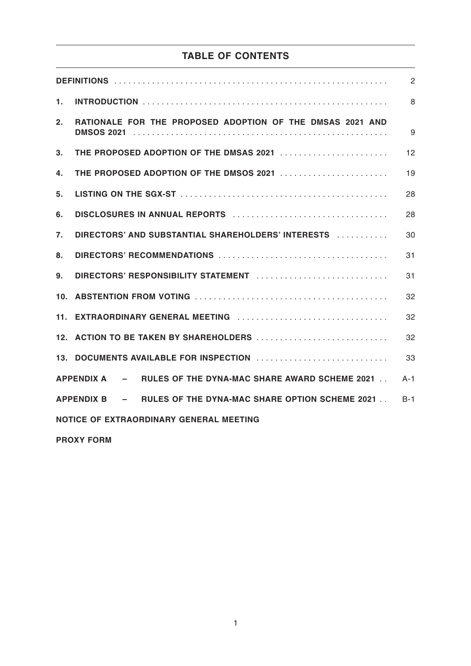# **TABLE OF CONTENTS**

|                                                                        | 2       |  |  |
|------------------------------------------------------------------------|---------|--|--|
| 1.                                                                     | 8       |  |  |
| RATIONALE FOR THE PROPOSED ADOPTION OF THE DMSAS 2021 AND<br>2.        | 9       |  |  |
| 3.<br>THE PROPOSED ADOPTION OF THE DMSAS 2021                          | 12      |  |  |
| THE PROPOSED ADOPTION OF THE DMSOS 2021<br>4.                          | 19      |  |  |
| 5.                                                                     | 28      |  |  |
| 6.                                                                     | 28      |  |  |
| $\overline{7}$ .<br>DIRECTORS' AND SUBSTANTIAL SHAREHOLDERS' INTERESTS | 30      |  |  |
| 8.                                                                     | 31      |  |  |
| 9.<br>DIRECTORS' RESPONSIBILITY STATEMENT                              | 31      |  |  |
| 32<br>10.                                                              |         |  |  |
|                                                                        | 32      |  |  |
| 12. ACTION TO BE TAKEN BY SHAREHOLDERS                                 | 32      |  |  |
|                                                                        | 33      |  |  |
| APPENDIX A - RULES OF THE DYNA-MAC SHARE AWARD SCHEME 2021.            | $A - 1$ |  |  |
| APPENDIX B - RULES OF THE DYNA-MAC SHARE OPTION SCHEME 2021.           | $B-1$   |  |  |
| <b>NOTICE OF EXTRAORDINARY GENERAL MEETING</b>                         |         |  |  |

**PROXY FORM**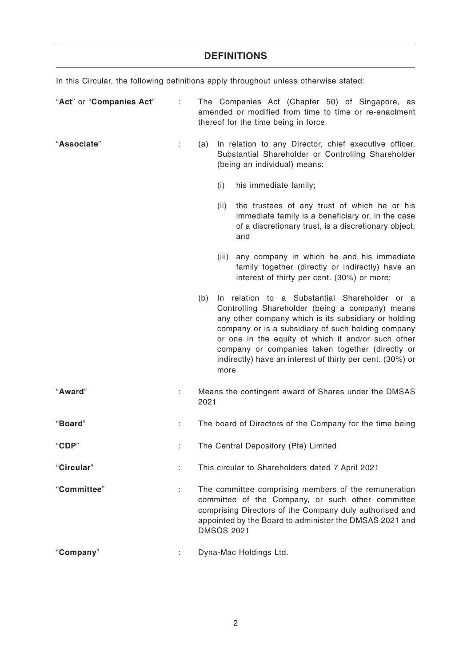## **DEFINITIONS**

In this Circular, the following definitions apply throughout unless otherwise stated:

| "Act" or "Companies Act" |    | The Companies Act (Chapter 50) of Singapore, as<br>amended or modified from time to time or re-enactment<br>thereof for the time being in force    |      |                                                                                                                                                                                                                                                                                                                                                                                       |
|--------------------------|----|----------------------------------------------------------------------------------------------------------------------------------------------------|------|---------------------------------------------------------------------------------------------------------------------------------------------------------------------------------------------------------------------------------------------------------------------------------------------------------------------------------------------------------------------------------------|
| "Associate"              | ÷. | In relation to any Director, chief executive officer,<br>(a)<br>Substantial Shareholder or Controlling Shareholder<br>(being an individual) means: |      |                                                                                                                                                                                                                                                                                                                                                                                       |
|                          |    |                                                                                                                                                    | (i)  | his immediate family;                                                                                                                                                                                                                                                                                                                                                                 |
|                          |    |                                                                                                                                                    | (ii) | the trustees of any trust of which he or his<br>immediate family is a beneficiary or, in the case<br>of a discretionary trust, is a discretionary object;<br>and                                                                                                                                                                                                                      |
|                          |    |                                                                                                                                                    |      | (iii) any company in which he and his immediate<br>family together (directly or indirectly) have an<br>interest of thirty per cent. (30%) or more;                                                                                                                                                                                                                                    |
|                          |    | (b)                                                                                                                                                | more | In relation to a Substantial Shareholder or a<br>Controlling Shareholder (being a company) means<br>any other company which is its subsidiary or holding<br>company or is a subsidiary of such holding company<br>or one in the equity of which it and/or such other<br>company or companies taken together (directly or<br>indirectly) have an interest of thirty per cent. (30%) or |
| "Award"                  |    | 2021                                                                                                                                               |      | Means the contingent award of Shares under the DMSAS                                                                                                                                                                                                                                                                                                                                  |
| "Board"                  |    | The board of Directors of the Company for the time being                                                                                           |      |                                                                                                                                                                                                                                                                                                                                                                                       |
| "CDP"                    |    | The Central Depository (Pte) Limited                                                                                                               |      |                                                                                                                                                                                                                                                                                                                                                                                       |
| "Circular"               | ÷  | This circular to Shareholders dated 7 April 2021                                                                                                   |      |                                                                                                                                                                                                                                                                                                                                                                                       |
| "Committee"              | ÷. |                                                                                                                                                    |      | The committee comprising members of the remuneration<br>committee of the Company, or such other committee<br>comprising Directors of the Company duly authorised and<br>appointed by the Board to administer the DMSAS 2021 and<br><b>DMSOS 2021</b>                                                                                                                                  |
| "Company"                |    |                                                                                                                                                    |      | Dyna-Mac Holdings Ltd.                                                                                                                                                                                                                                                                                                                                                                |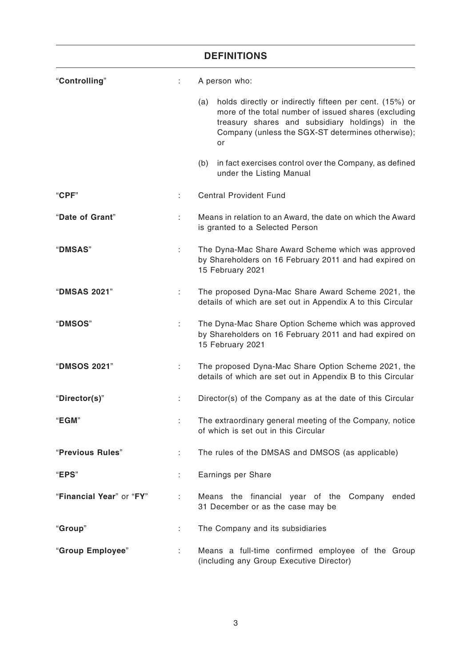| <b>DEFINITIONS</b>       |    |                                                                                                                                                                                                                                      |  |
|--------------------------|----|--------------------------------------------------------------------------------------------------------------------------------------------------------------------------------------------------------------------------------------|--|
| "Controlling"            | ÷. | A person who:                                                                                                                                                                                                                        |  |
|                          |    | holds directly or indirectly fifteen per cent. (15%) or<br>(a)<br>more of the total number of issued shares (excluding<br>treasury shares and subsidiary holdings) in the<br>Company (unless the SGX-ST determines otherwise);<br>or |  |
|                          |    | in fact exercises control over the Company, as defined<br>(b)<br>under the Listing Manual                                                                                                                                            |  |
| "CPF"                    |    | <b>Central Provident Fund</b>                                                                                                                                                                                                        |  |
| "Date of Grant"          |    | Means in relation to an Award, the date on which the Award<br>is granted to a Selected Person                                                                                                                                        |  |
| "DMSAS"                  | ÷  | The Dyna-Mac Share Award Scheme which was approved<br>by Shareholders on 16 February 2011 and had expired on<br>15 February 2021                                                                                                     |  |
| "DMSAS 2021"             | ÷  | The proposed Dyna-Mac Share Award Scheme 2021, the<br>details of which are set out in Appendix A to this Circular                                                                                                                    |  |
| "DMSOS"                  | ÷  | The Dyna-Mac Share Option Scheme which was approved<br>by Shareholders on 16 February 2011 and had expired on<br>15 February 2021                                                                                                    |  |
| "DMSOS 2021"             |    | The proposed Dyna-Mac Share Option Scheme 2021, the<br>details of which are set out in Appendix B to this Circular                                                                                                                   |  |
| "Director(s)"            |    | Director(s) of the Company as at the date of this Circular                                                                                                                                                                           |  |
| "EGM"                    | ÷. | The extraordinary general meeting of the Company, notice<br>of which is set out in this Circular                                                                                                                                     |  |
| "Previous Rules"         | ÷  | The rules of the DMSAS and DMSOS (as applicable)                                                                                                                                                                                     |  |
| "EPS"                    |    | Earnings per Share                                                                                                                                                                                                                   |  |
| "Financial Year" or "FY" | ÷  | Means the financial year of the Company<br>ended<br>31 December or as the case may be                                                                                                                                                |  |
| "Group"                  | ÷  | The Company and its subsidiaries                                                                                                                                                                                                     |  |
| "Group Employee"         | ÷. | Means a full-time confirmed employee of the Group<br>(including any Group Executive Director)                                                                                                                                        |  |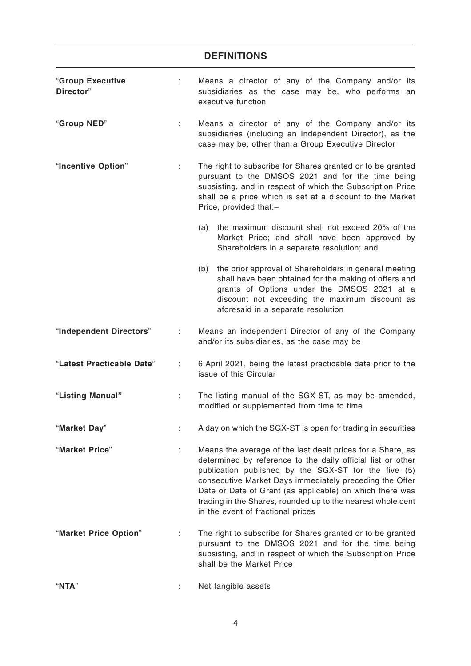## **DEFINITIONS**

| "Group Executive<br>Director" | ÷.                        | Means a director of any of the Company and/or its<br>subsidiaries as the case may be, who performs an<br>executive function                                                                                                                                                                                                                                                                                  |
|-------------------------------|---------------------------|--------------------------------------------------------------------------------------------------------------------------------------------------------------------------------------------------------------------------------------------------------------------------------------------------------------------------------------------------------------------------------------------------------------|
| "Group NED"                   | t.                        | Means a director of any of the Company and/or its<br>subsidiaries (including an Independent Director), as the<br>case may be, other than a Group Executive Director                                                                                                                                                                                                                                          |
| "Incentive Option"            | t.                        | The right to subscribe for Shares granted or to be granted<br>pursuant to the DMSOS 2021 and for the time being<br>subsisting, and in respect of which the Subscription Price<br>shall be a price which is set at a discount to the Market<br>Price, provided that:-                                                                                                                                         |
|                               |                           | the maximum discount shall not exceed 20% of the<br>(a)<br>Market Price; and shall have been approved by<br>Shareholders in a separate resolution; and                                                                                                                                                                                                                                                       |
|                               |                           | (b)<br>the prior approval of Shareholders in general meeting<br>shall have been obtained for the making of offers and<br>grants of Options under the DMSOS 2021 at a<br>discount not exceeding the maximum discount as<br>aforesaid in a separate resolution                                                                                                                                                 |
| "Independent Directors"       | $\mathbb{Z}^{\mathbb{Z}}$ | Means an independent Director of any of the Company<br>and/or its subsidiaries, as the case may be                                                                                                                                                                                                                                                                                                           |
| "Latest Practicable Date"     | ÷                         | 6 April 2021, being the latest practicable date prior to the<br>issue of this Circular                                                                                                                                                                                                                                                                                                                       |
| "Listing Manual"              | ÷.                        | The listing manual of the SGX-ST, as may be amended,<br>modified or supplemented from time to time                                                                                                                                                                                                                                                                                                           |
| "Market Day"                  |                           | A day on which the SGX-ST is open for trading in securities                                                                                                                                                                                                                                                                                                                                                  |
| "Market Price"                | ÷                         | Means the average of the last dealt prices for a Share, as<br>determined by reference to the daily official list or other<br>publication published by the SGX-ST for the five (5)<br>consecutive Market Days immediately preceding the Offer<br>Date or Date of Grant (as applicable) on which there was<br>trading in the Shares, rounded up to the nearest whole cent<br>in the event of fractional prices |
| "Market Price Option"         |                           | The right to subscribe for Shares granted or to be granted<br>pursuant to the DMSOS 2021 and for the time being<br>subsisting, and in respect of which the Subscription Price<br>shall be the Market Price                                                                                                                                                                                                   |
| "NTA"                         |                           | Net tangible assets                                                                                                                                                                                                                                                                                                                                                                                          |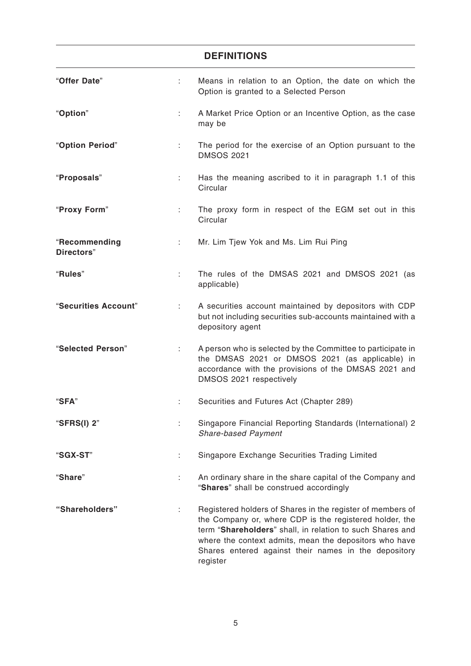|                             |    | <b>DEFINITIONS</b>                                                                                                                                                                                                                                                                                               |
|-----------------------------|----|------------------------------------------------------------------------------------------------------------------------------------------------------------------------------------------------------------------------------------------------------------------------------------------------------------------|
| "Offer Date"                | t. | Means in relation to an Option, the date on which the<br>Option is granted to a Selected Person                                                                                                                                                                                                                  |
| "Option"                    | ÷. | A Market Price Option or an Incentive Option, as the case<br>may be                                                                                                                                                                                                                                              |
| "Option Period"             | t. | The period for the exercise of an Option pursuant to the<br><b>DMSOS 2021</b>                                                                                                                                                                                                                                    |
| "Proposals"                 | ÷. | Has the meaning ascribed to it in paragraph 1.1 of this<br>Circular                                                                                                                                                                                                                                              |
| "Proxy Form"                |    | The proxy form in respect of the EGM set out in this<br>Circular                                                                                                                                                                                                                                                 |
| "Recommending<br>Directors" | ÷  | Mr. Lim Tjew Yok and Ms. Lim Rui Ping                                                                                                                                                                                                                                                                            |
| "Rules"                     | t. | The rules of the DMSAS 2021 and DMSOS 2021 (as<br>applicable)                                                                                                                                                                                                                                                    |
| "Securities Account"        | t. | A securities account maintained by depositors with CDP<br>but not including securities sub-accounts maintained with a<br>depository agent                                                                                                                                                                        |
| "Selected Person"           | ÷  | A person who is selected by the Committee to participate in<br>the DMSAS 2021 or DMSOS 2021 (as applicable) in<br>accordance with the provisions of the DMSAS 2021 and<br>DMSOS 2021 respectively                                                                                                                |
| "SFA"                       | ÷  | Securities and Futures Act (Chapter 289)                                                                                                                                                                                                                                                                         |
| "SFRS(I) 2"                 |    | Singapore Financial Reporting Standards (International) 2<br><b>Share-based Payment</b>                                                                                                                                                                                                                          |
| "SGX-ST"                    |    | Singapore Exchange Securities Trading Limited                                                                                                                                                                                                                                                                    |
| "Share"                     | ÷. | An ordinary share in the share capital of the Company and<br>"Shares" shall be construed accordingly                                                                                                                                                                                                             |
| "Shareholders"              |    | Registered holders of Shares in the register of members of<br>the Company or, where CDP is the registered holder, the<br>term "Shareholders" shall, in relation to such Shares and<br>where the context admits, mean the depositors who have<br>Shares entered against their names in the depository<br>register |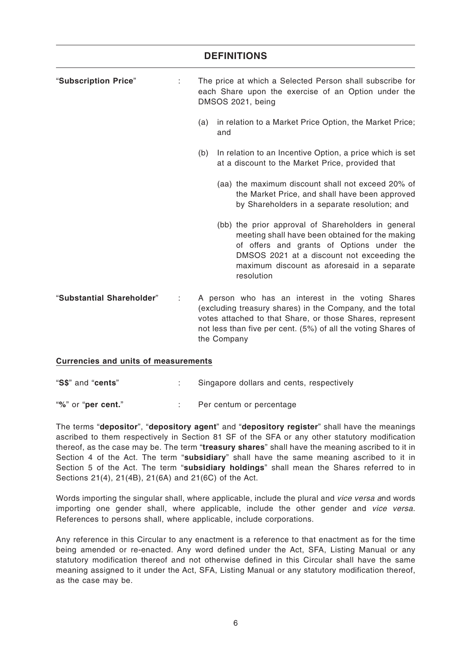# "**Subscription Price**" : The price at which a Selected Person shall subscribe for each Share upon the exercise of an Option under the DMSOS 2021, being (a) in relation to a Market Price Option, the Market Price; and (b) In relation to an Incentive Option, a price which is set at a discount to the Market Price, provided that (aa) the maximum discount shall not exceed 20% of the Market Price, and shall have been approved by Shareholders in a separate resolution; and (bb) the prior approval of Shareholders in general meeting shall have been obtained for the making of offers and grants of Options under the DMSOS 2021 at a discount not exceeding the maximum discount as aforesaid in a separate resolution "**Substantial Shareholder**" : A person who has an interest in the voting Shares (excluding treasury shares) in the Company, and the total votes attached to that Share, or those Shares, represent not less than five per cent. (5%) of all the voting Shares of **DEFINITIONS**

### **Currencies and units of measurements**

"**S\$**" and "**cents**" : Singapore dollars and cents, respectively

the Company

"**%**" or "**per cent.**" : Per centum or percentage

The terms "**depositor**", "**depository agent**" and "**depository register**" shall have the meanings ascribed to them respectively in Section 81 SF of the SFA or any other statutory modification thereof, as the case may be. The term "**treasury shares**" shall have the meaning ascribed to it in Section 4 of the Act. The term "**subsidiary**" shall have the same meaning ascribed to it in Section 5 of the Act. The term "**subsidiary holdings**" shall mean the Shares referred to in Sections 21(4), 21(4B), 21(6A) and 21(6C) of the Act.

Words importing the singular shall, where applicable, include the plural and *vice versa a*nd words importing one gender shall, where applicable, include the other gender and vice versa. References to persons shall, where applicable, include corporations.

Any reference in this Circular to any enactment is a reference to that enactment as for the time being amended or re-enacted. Any word defined under the Act, SFA, Listing Manual or any statutory modification thereof and not otherwise defined in this Circular shall have the same meaning assigned to it under the Act, SFA, Listing Manual or any statutory modification thereof, as the case may be.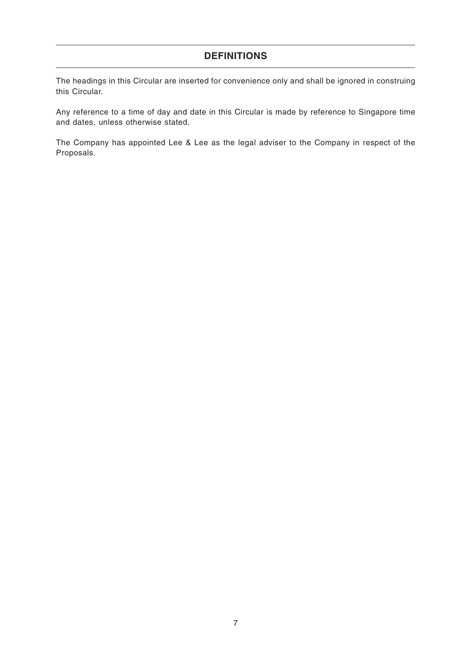### **DEFINITIONS**

The headings in this Circular are inserted for convenience only and shall be ignored in construing this Circular.

Any reference to a time of day and date in this Circular is made by reference to Singapore time and dates, unless otherwise stated.

The Company has appointed Lee & Lee as the legal adviser to the Company in respect of the Proposals.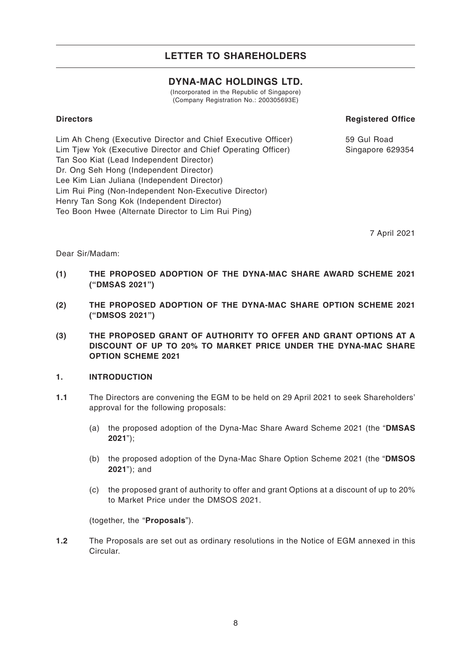### **DYNA-MAC HOLDINGS LTD.**

(Incorporated in the Republic of Singapore) (Company Registration No.: 200305693E)

### **Directors**

### **Registered Office**

Lim Ah Cheng (Executive Director and Chief Executive Officer) Lim Tjew Yok (Executive Director and Chief Operating Officer) Tan Soo Kiat (Lead Independent Director) Dr. Ong Seh Hong (Independent Director) Lee Kim Lian Juliana (Independent Director) Lim Rui Ping (Non-Independent Non-Executive Director) Henry Tan Song Kok (Independent Director) Teo Boon Hwee (Alternate Director to Lim Rui Ping)

59 Gul Road Singapore 629354

7 April 2021

Dear Sir/Madam:

- **(1) THE PROPOSED ADOPTION OF THE DYNA-MAC SHARE AWARD SCHEME 2021 ("DMSAS 2021")**
- **(2) THE PROPOSED ADOPTION OF THE DYNA-MAC SHARE OPTION SCHEME 2021 ("DMSOS 2021")**
- **(3) THE PROPOSED GRANT OF AUTHORITY TO OFFER AND GRANT OPTIONS AT A DISCOUNT OF UP TO 20% TO MARKET PRICE UNDER THE DYNA-MAC SHARE OPTION SCHEME 2021**

### **1. INTRODUCTION**

- **1.1** The Directors are convening the EGM to be held on 29 April 2021 to seek Shareholders' approval for the following proposals:
	- (a) the proposed adoption of the Dyna-Mac Share Award Scheme 2021 (the "**DMSAS 2021**");
	- (b) the proposed adoption of the Dyna-Mac Share Option Scheme 2021 (the "**DMSOS 2021**"); and
	- (c) the proposed grant of authority to offer and grant Options at a discount of up to 20% to Market Price under the DMSOS 2021.

(together, the "**Proposals**").

**1.2** The Proposals are set out as ordinary resolutions in the Notice of EGM annexed in this Circular.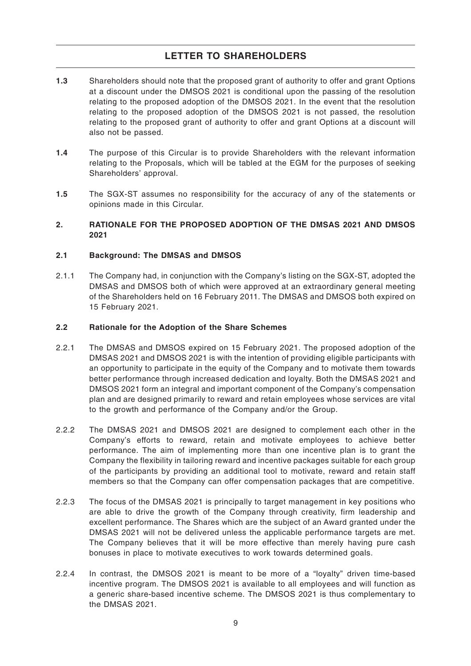- **1.3** Shareholders should note that the proposed grant of authority to offer and grant Options at a discount under the DMSOS 2021 is conditional upon the passing of the resolution relating to the proposed adoption of the DMSOS 2021. In the event that the resolution relating to the proposed adoption of the DMSOS 2021 is not passed, the resolution relating to the proposed grant of authority to offer and grant Options at a discount will also not be passed.
- **1.4** The purpose of this Circular is to provide Shareholders with the relevant information relating to the Proposals, which will be tabled at the EGM for the purposes of seeking Shareholders' approval.
- **1.5** The SGX-ST assumes no responsibility for the accuracy of any of the statements or opinions made in this Circular.

### **2. RATIONALE FOR THE PROPOSED ADOPTION OF THE DMSAS 2021 AND DMSOS 2021**

### **2.1 Background: The DMSAS and DMSOS**

2.1.1 The Company had, in conjunction with the Company's listing on the SGX-ST, adopted the DMSAS and DMSOS both of which were approved at an extraordinary general meeting of the Shareholders held on 16 February 2011. The DMSAS and DMSOS both expired on 15 February 2021.

#### **2.2 Rationale for the Adoption of the Share Schemes**

- 2.2.1 The DMSAS and DMSOS expired on 15 February 2021. The proposed adoption of the DMSAS 2021 and DMSOS 2021 is with the intention of providing eligible participants with an opportunity to participate in the equity of the Company and to motivate them towards better performance through increased dedication and loyalty. Both the DMSAS 2021 and DMSOS 2021 form an integral and important component of the Company's compensation plan and are designed primarily to reward and retain employees whose services are vital to the growth and performance of the Company and/or the Group.
- 2.2.2 The DMSAS 2021 and DMSOS 2021 are designed to complement each other in the Company's efforts to reward, retain and motivate employees to achieve better performance. The aim of implementing more than one incentive plan is to grant the Company the flexibility in tailoring reward and incentive packages suitable for each group of the participants by providing an additional tool to motivate, reward and retain staff members so that the Company can offer compensation packages that are competitive.
- 2.2.3 The focus of the DMSAS 2021 is principally to target management in key positions who are able to drive the growth of the Company through creativity, firm leadership and excellent performance. The Shares which are the subject of an Award granted under the DMSAS 2021 will not be delivered unless the applicable performance targets are met. The Company believes that it will be more effective than merely having pure cash bonuses in place to motivate executives to work towards determined goals.
- 2.2.4 In contrast, the DMSOS 2021 is meant to be more of a "loyalty" driven time-based incentive program. The DMSOS 2021 is available to all employees and will function as a generic share-based incentive scheme. The DMSOS 2021 is thus complementary to the DMSAS 2021.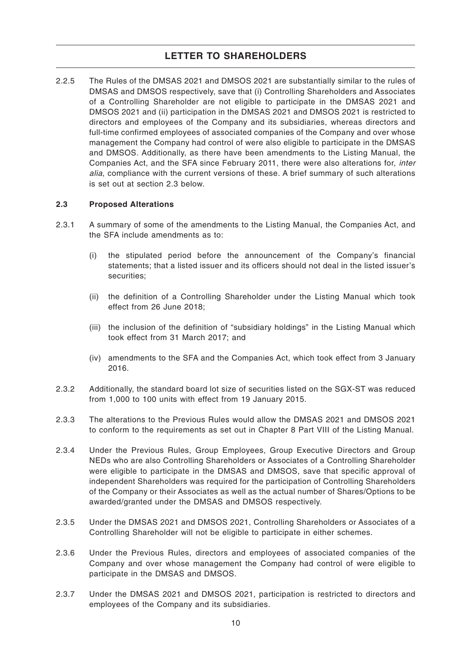2.2.5 The Rules of the DMSAS 2021 and DMSOS 2021 are substantially similar to the rules of DMSAS and DMSOS respectively, save that (i) Controlling Shareholders and Associates of a Controlling Shareholder are not eligible to participate in the DMSAS 2021 and DMSOS 2021 and (ii) participation in the DMSAS 2021 and DMSOS 2021 is restricted to directors and employees of the Company and its subsidiaries, whereas directors and full-time confirmed employees of associated companies of the Company and over whose management the Company had control of were also eligible to participate in the DMSAS and DMSOS. Additionally, as there have been amendments to the Listing Manual, the Companies Act, and the SFA since February 2011, there were also alterations for, inter alia, compliance with the current versions of these. A brief summary of such alterations is set out at section 2.3 below.

### **2.3 Proposed Alterations**

- 2.3.1 A summary of some of the amendments to the Listing Manual, the Companies Act, and the SFA include amendments as to:
	- (i) the stipulated period before the announcement of the Company's financial statements; that a listed issuer and its officers should not deal in the listed issuer's securities;
	- (ii) the definition of a Controlling Shareholder under the Listing Manual which took effect from 26 June 2018;
	- (iii) the inclusion of the definition of "subsidiary holdings" in the Listing Manual which took effect from 31 March 2017; and
	- (iv) amendments to the SFA and the Companies Act, which took effect from 3 January 2016.
- 2.3.2 Additionally, the standard board lot size of securities listed on the SGX-ST was reduced from 1,000 to 100 units with effect from 19 January 2015.
- 2.3.3 The alterations to the Previous Rules would allow the DMSAS 2021 and DMSOS 2021 to conform to the requirements as set out in Chapter 8 Part VIII of the Listing Manual.
- 2.3.4 Under the Previous Rules, Group Employees, Group Executive Directors and Group NEDs who are also Controlling Shareholders or Associates of a Controlling Shareholder were eligible to participate in the DMSAS and DMSOS, save that specific approval of independent Shareholders was required for the participation of Controlling Shareholders of the Company or their Associates as well as the actual number of Shares/Options to be awarded/granted under the DMSAS and DMSOS respectively.
- 2.3.5 Under the DMSAS 2021 and DMSOS 2021, Controlling Shareholders or Associates of a Controlling Shareholder will not be eligible to participate in either schemes.
- 2.3.6 Under the Previous Rules, directors and employees of associated companies of the Company and over whose management the Company had control of were eligible to participate in the DMSAS and DMSOS.
- 2.3.7 Under the DMSAS 2021 and DMSOS 2021, participation is restricted to directors and employees of the Company and its subsidiaries.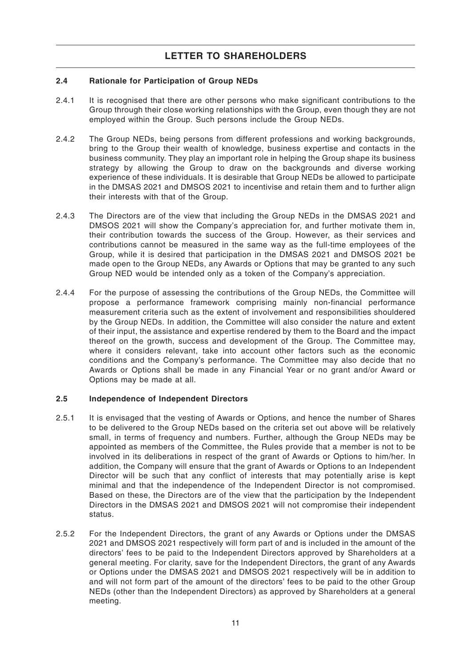### **2.4 Rationale for Participation of Group NEDs**

- 2.4.1 It is recognised that there are other persons who make significant contributions to the Group through their close working relationships with the Group, even though they are not employed within the Group. Such persons include the Group NEDs.
- 2.4.2 The Group NEDs, being persons from different professions and working backgrounds, bring to the Group their wealth of knowledge, business expertise and contacts in the business community. They play an important role in helping the Group shape its business strategy by allowing the Group to draw on the backgrounds and diverse working experience of these individuals. It is desirable that Group NEDs be allowed to participate in the DMSAS 2021 and DMSOS 2021 to incentivise and retain them and to further align their interests with that of the Group.
- 2.4.3 The Directors are of the view that including the Group NEDs in the DMSAS 2021 and DMSOS 2021 will show the Company's appreciation for, and further motivate them in, their contribution towards the success of the Group. However, as their services and contributions cannot be measured in the same way as the full-time employees of the Group, while it is desired that participation in the DMSAS 2021 and DMSOS 2021 be made open to the Group NEDs, any Awards or Options that may be granted to any such Group NED would be intended only as a token of the Company's appreciation.
- 2.4.4 For the purpose of assessing the contributions of the Group NEDs, the Committee will propose a performance framework comprising mainly non-financial performance measurement criteria such as the extent of involvement and responsibilities shouldered by the Group NEDs. In addition, the Committee will also consider the nature and extent of their input, the assistance and expertise rendered by them to the Board and the impact thereof on the growth, success and development of the Group. The Committee may, where it considers relevant, take into account other factors such as the economic conditions and the Company's performance. The Committee may also decide that no Awards or Options shall be made in any Financial Year or no grant and/or Award or Options may be made at all.

### **2.5 Independence of Independent Directors**

- 2.5.1 It is envisaged that the vesting of Awards or Options, and hence the number of Shares to be delivered to the Group NEDs based on the criteria set out above will be relatively small, in terms of frequency and numbers. Further, although the Group NEDs may be appointed as members of the Committee, the Rules provide that a member is not to be involved in its deliberations in respect of the grant of Awards or Options to him/her. In addition, the Company will ensure that the grant of Awards or Options to an Independent Director will be such that any conflict of interests that may potentially arise is kept minimal and that the independence of the Independent Director is not compromised. Based on these, the Directors are of the view that the participation by the Independent Directors in the DMSAS 2021 and DMSOS 2021 will not compromise their independent status.
- 2.5.2 For the Independent Directors, the grant of any Awards or Options under the DMSAS 2021 and DMSOS 2021 respectively will form part of and is included in the amount of the directors' fees to be paid to the Independent Directors approved by Shareholders at a general meeting. For clarity, save for the Independent Directors, the grant of any Awards or Options under the DMSAS 2021 and DMSOS 2021 respectively will be in addition to and will not form part of the amount of the directors' fees to be paid to the other Group NEDs (other than the Independent Directors) as approved by Shareholders at a general meeting.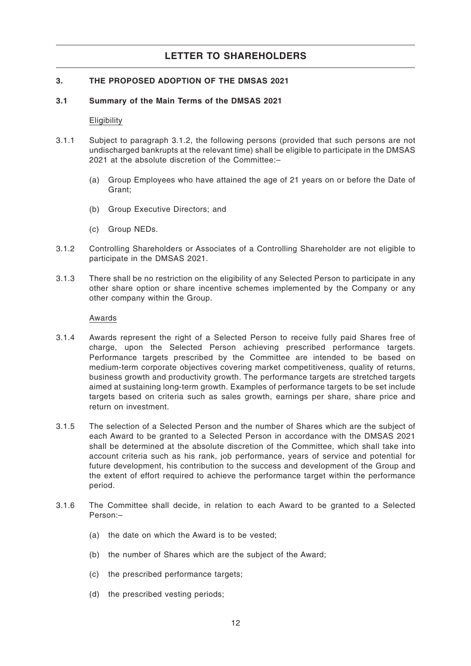### **3. THE PROPOSED ADOPTION OF THE DMSAS 2021**

#### **3.1 Summary of the Main Terms of the DMSAS 2021**

**Eligibility** 

- 3.1.1 Subject to paragraph 3.1.2, the following persons (provided that such persons are not undischarged bankrupts at the relevant time) shall be eligible to participate in the DMSAS 2021 at the absolute discretion of the Committee:–
	- (a) Group Employees who have attained the age of 21 years on or before the Date of Grant;
	- (b) Group Executive Directors; and
	- (c) Group NEDs.
- 3.1.2 Controlling Shareholders or Associates of a Controlling Shareholder are not eligible to participate in the DMSAS 2021.
- 3.1.3 There shall be no restriction on the eligibility of any Selected Person to participate in any other share option or share incentive schemes implemented by the Company or any other company within the Group.

#### Awards

- 3.1.4 Awards represent the right of a Selected Person to receive fully paid Shares free of charge, upon the Selected Person achieving prescribed performance targets. Performance targets prescribed by the Committee are intended to be based on medium-term corporate objectives covering market competitiveness, quality of returns, business growth and productivity growth. The performance targets are stretched targets aimed at sustaining long-term growth. Examples of performance targets to be set include targets based on criteria such as sales growth, earnings per share, share price and return on investment.
- 3.1.5 The selection of a Selected Person and the number of Shares which are the subject of each Award to be granted to a Selected Person in accordance with the DMSAS 2021 shall be determined at the absolute discretion of the Committee, which shall take into account criteria such as his rank, job performance, years of service and potential for future development, his contribution to the success and development of the Group and the extent of effort required to achieve the performance target within the performance period.
- 3.1.6 The Committee shall decide, in relation to each Award to be granted to a Selected Person:–
	- (a) the date on which the Award is to be vested;
	- (b) the number of Shares which are the subject of the Award;
	- (c) the prescribed performance targets;
	- (d) the prescribed vesting periods;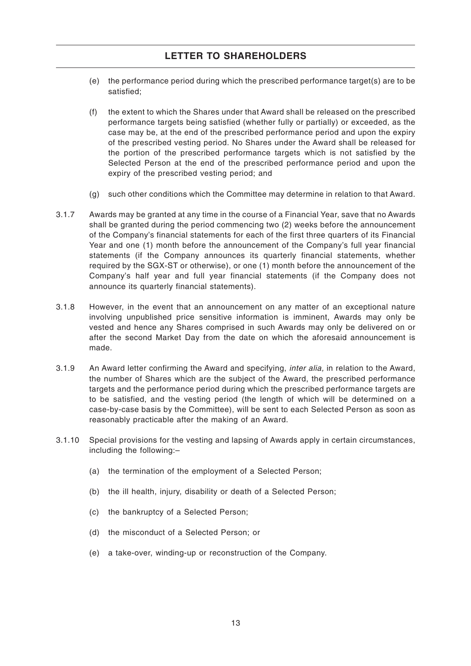- (e) the performance period during which the prescribed performance target(s) are to be satisfied;
- (f) the extent to which the Shares under that Award shall be released on the prescribed performance targets being satisfied (whether fully or partially) or exceeded, as the case may be, at the end of the prescribed performance period and upon the expiry of the prescribed vesting period. No Shares under the Award shall be released for the portion of the prescribed performance targets which is not satisfied by the Selected Person at the end of the prescribed performance period and upon the expiry of the prescribed vesting period; and
- (g) such other conditions which the Committee may determine in relation to that Award.
- 3.1.7 Awards may be granted at any time in the course of a Financial Year, save that no Awards shall be granted during the period commencing two (2) weeks before the announcement of the Company's financial statements for each of the first three quarters of its Financial Year and one (1) month before the announcement of the Company's full year financial statements (if the Company announces its quarterly financial statements, whether required by the SGX-ST or otherwise), or one (1) month before the announcement of the Company's half year and full year financial statements (if the Company does not announce its quarterly financial statements).
- 3.1.8 However, in the event that an announcement on any matter of an exceptional nature involving unpublished price sensitive information is imminent, Awards may only be vested and hence any Shares comprised in such Awards may only be delivered on or after the second Market Day from the date on which the aforesaid announcement is made.
- 3.1.9 An Award letter confirming the Award and specifying, inter alia, in relation to the Award, the number of Shares which are the subject of the Award, the prescribed performance targets and the performance period during which the prescribed performance targets are to be satisfied, and the vesting period (the length of which will be determined on a case-by-case basis by the Committee), will be sent to each Selected Person as soon as reasonably practicable after the making of an Award.
- 3.1.10 Special provisions for the vesting and lapsing of Awards apply in certain circumstances, including the following:–
	- (a) the termination of the employment of a Selected Person;
	- (b) the ill health, injury, disability or death of a Selected Person;
	- (c) the bankruptcy of a Selected Person;
	- (d) the misconduct of a Selected Person; or
	- (e) a take-over, winding-up or reconstruction of the Company.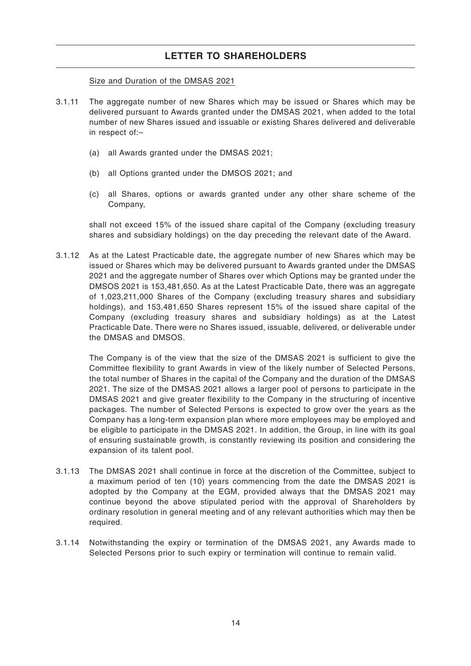Size and Duration of the DMSAS 2021

- 3.1.11 The aggregate number of new Shares which may be issued or Shares which may be delivered pursuant to Awards granted under the DMSAS 2021, when added to the total number of new Shares issued and issuable or existing Shares delivered and deliverable in respect of:–
	- (a) all Awards granted under the DMSAS 2021;
	- (b) all Options granted under the DMSOS 2021; and
	- (c) all Shares, options or awards granted under any other share scheme of the Company,

shall not exceed 15% of the issued share capital of the Company (excluding treasury shares and subsidiary holdings) on the day preceding the relevant date of the Award.

3.1.12 As at the Latest Practicable date, the aggregate number of new Shares which may be issued or Shares which may be delivered pursuant to Awards granted under the DMSAS 2021 and the aggregate number of Shares over which Options may be granted under the DMSOS 2021 is 153,481,650. As at the Latest Practicable Date, there was an aggregate of 1,023,211,000 Shares of the Company (excluding treasury shares and subsidiary holdings), and 153,481,650 Shares represent 15% of the issued share capital of the Company (excluding treasury shares and subsidiary holdings) as at the Latest Practicable Date. There were no Shares issued, issuable, delivered, or deliverable under the DMSAS and DMSOS.

The Company is of the view that the size of the DMSAS 2021 is sufficient to give the Committee flexibility to grant Awards in view of the likely number of Selected Persons, the total number of Shares in the capital of the Company and the duration of the DMSAS 2021. The size of the DMSAS 2021 allows a larger pool of persons to participate in the DMSAS 2021 and give greater flexibility to the Company in the structuring of incentive packages. The number of Selected Persons is expected to grow over the years as the Company has a long-term expansion plan where more employees may be employed and be eligible to participate in the DMSAS 2021. In addition, the Group, in line with its goal of ensuring sustainable growth, is constantly reviewing its position and considering the expansion of its talent pool.

- 3.1.13 The DMSAS 2021 shall continue in force at the discretion of the Committee, subject to a maximum period of ten (10) years commencing from the date the DMSAS 2021 is adopted by the Company at the EGM, provided always that the DMSAS 2021 may continue beyond the above stipulated period with the approval of Shareholders by ordinary resolution in general meeting and of any relevant authorities which may then be required.
- 3.1.14 Notwithstanding the expiry or termination of the DMSAS 2021, any Awards made to Selected Persons prior to such expiry or termination will continue to remain valid.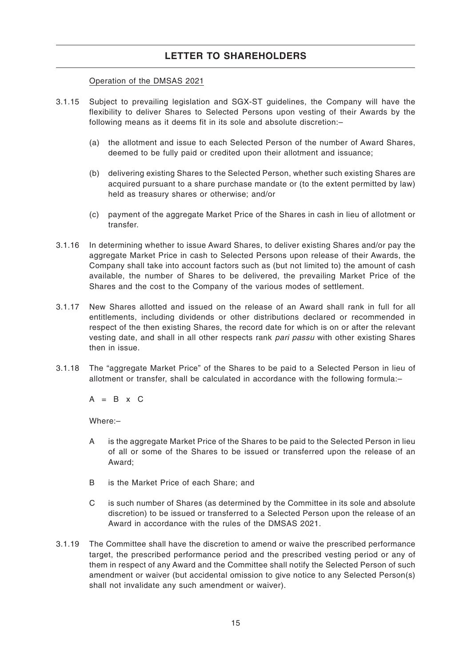### Operation of the DMSAS 2021

- 3.1.15 Subject to prevailing legislation and SGX-ST guidelines, the Company will have the flexibility to deliver Shares to Selected Persons upon vesting of their Awards by the following means as it deems fit in its sole and absolute discretion:–
	- (a) the allotment and issue to each Selected Person of the number of Award Shares, deemed to be fully paid or credited upon their allotment and issuance;
	- (b) delivering existing Shares to the Selected Person, whether such existing Shares are acquired pursuant to a share purchase mandate or (to the extent permitted by law) held as treasury shares or otherwise; and/or
	- (c) payment of the aggregate Market Price of the Shares in cash in lieu of allotment or transfer.
- 3.1.16 In determining whether to issue Award Shares, to deliver existing Shares and/or pay the aggregate Market Price in cash to Selected Persons upon release of their Awards, the Company shall take into account factors such as (but not limited to) the amount of cash available, the number of Shares to be delivered, the prevailing Market Price of the Shares and the cost to the Company of the various modes of settlement.
- 3.1.17 New Shares allotted and issued on the release of an Award shall rank in full for all entitlements, including dividends or other distributions declared or recommended in respect of the then existing Shares, the record date for which is on or after the relevant vesting date, and shall in all other respects rank pari passu with other existing Shares then in issue.
- 3.1.18 The "aggregate Market Price" of the Shares to be paid to a Selected Person in lieu of allotment or transfer, shall be calculated in accordance with the following formula:–

 $A = B \times C$ 

Where:–

- A is the aggregate Market Price of the Shares to be paid to the Selected Person in lieu of all or some of the Shares to be issued or transferred upon the release of an Award;
- B is the Market Price of each Share; and
- C is such number of Shares (as determined by the Committee in its sole and absolute discretion) to be issued or transferred to a Selected Person upon the release of an Award in accordance with the rules of the DMSAS 2021.
- 3.1.19 The Committee shall have the discretion to amend or waive the prescribed performance target, the prescribed performance period and the prescribed vesting period or any of them in respect of any Award and the Committee shall notify the Selected Person of such amendment or waiver (but accidental omission to give notice to any Selected Person(s) shall not invalidate any such amendment or waiver).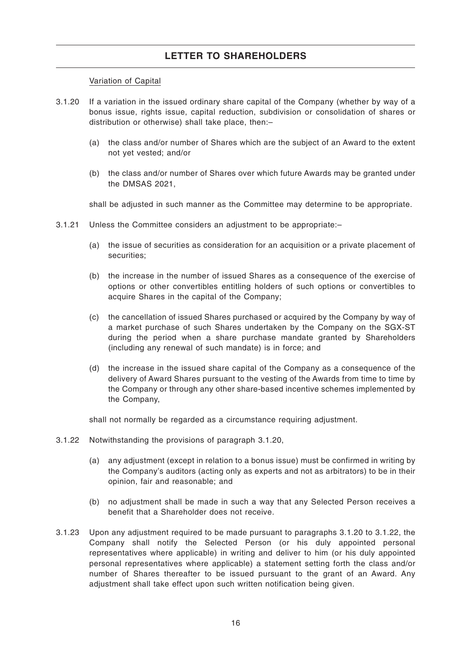### Variation of Capital

- 3.1.20 If a variation in the issued ordinary share capital of the Company (whether by way of a bonus issue, rights issue, capital reduction, subdivision or consolidation of shares or distribution or otherwise) shall take place, then:–
	- (a) the class and/or number of Shares which are the subject of an Award to the extent not yet vested; and/or
	- (b) the class and/or number of Shares over which future Awards may be granted under the DMSAS 2021,

shall be adjusted in such manner as the Committee may determine to be appropriate.

- 3.1.21 Unless the Committee considers an adjustment to be appropriate:–
	- (a) the issue of securities as consideration for an acquisition or a private placement of securities;
	- (b) the increase in the number of issued Shares as a consequence of the exercise of options or other convertibles entitling holders of such options or convertibles to acquire Shares in the capital of the Company;
	- (c) the cancellation of issued Shares purchased or acquired by the Company by way of a market purchase of such Shares undertaken by the Company on the SGX-ST during the period when a share purchase mandate granted by Shareholders (including any renewal of such mandate) is in force; and
	- (d) the increase in the issued share capital of the Company as a consequence of the delivery of Award Shares pursuant to the vesting of the Awards from time to time by the Company or through any other share-based incentive schemes implemented by the Company,

shall not normally be regarded as a circumstance requiring adjustment.

- 3.1.22 Notwithstanding the provisions of paragraph 3.1.20,
	- (a) any adjustment (except in relation to a bonus issue) must be confirmed in writing by the Company's auditors (acting only as experts and not as arbitrators) to be in their opinion, fair and reasonable; and
	- (b) no adjustment shall be made in such a way that any Selected Person receives a benefit that a Shareholder does not receive.
- 3.1.23 Upon any adjustment required to be made pursuant to paragraphs 3.1.20 to 3.1.22, the Company shall notify the Selected Person (or his duly appointed personal representatives where applicable) in writing and deliver to him (or his duly appointed personal representatives where applicable) a statement setting forth the class and/or number of Shares thereafter to be issued pursuant to the grant of an Award. Any adjustment shall take effect upon such written notification being given.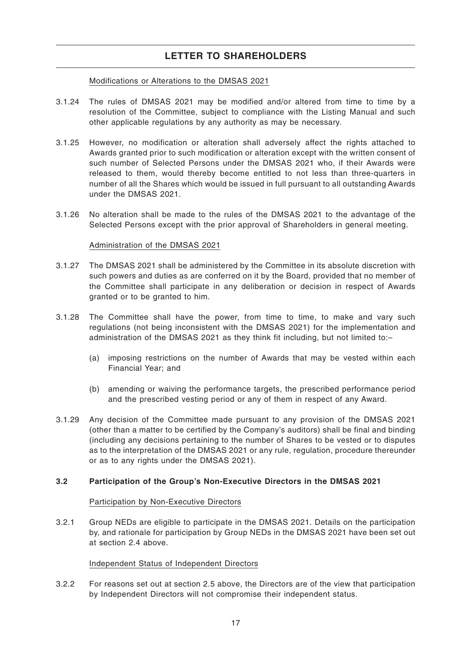### Modifications or Alterations to the DMSAS 2021

- 3.1.24 The rules of DMSAS 2021 may be modified and/or altered from time to time by a resolution of the Committee, subject to compliance with the Listing Manual and such other applicable regulations by any authority as may be necessary.
- 3.1.25 However, no modification or alteration shall adversely affect the rights attached to Awards granted prior to such modification or alteration except with the written consent of such number of Selected Persons under the DMSAS 2021 who, if their Awards were released to them, would thereby become entitled to not less than three-quarters in number of all the Shares which would be issued in full pursuant to all outstanding Awards under the DMSAS 2021.
- 3.1.26 No alteration shall be made to the rules of the DMSAS 2021 to the advantage of the Selected Persons except with the prior approval of Shareholders in general meeting.

### Administration of the DMSAS 2021

- 3.1.27 The DMSAS 2021 shall be administered by the Committee in its absolute discretion with such powers and duties as are conferred on it by the Board, provided that no member of the Committee shall participate in any deliberation or decision in respect of Awards granted or to be granted to him.
- 3.1.28 The Committee shall have the power, from time to time, to make and vary such regulations (not being inconsistent with the DMSAS 2021) for the implementation and administration of the DMSAS 2021 as they think fit including, but not limited to:–
	- (a) imposing restrictions on the number of Awards that may be vested within each Financial Year; and
	- (b) amending or waiving the performance targets, the prescribed performance period and the prescribed vesting period or any of them in respect of any Award.
- 3.1.29 Any decision of the Committee made pursuant to any provision of the DMSAS 2021 (other than a matter to be certified by the Company's auditors) shall be final and binding (including any decisions pertaining to the number of Shares to be vested or to disputes as to the interpretation of the DMSAS 2021 or any rule, regulation, procedure thereunder or as to any rights under the DMSAS 2021).

### **3.2 Participation of the Group's Non-Executive Directors in the DMSAS 2021**

### Participation by Non-Executive Directors

3.2.1 Group NEDs are eligible to participate in the DMSAS 2021. Details on the participation by, and rationale for participation by Group NEDs in the DMSAS 2021 have been set out at section 2.4 above.

### Independent Status of Independent Directors

3.2.2 For reasons set out at section 2.5 above, the Directors are of the view that participation by Independent Directors will not compromise their independent status.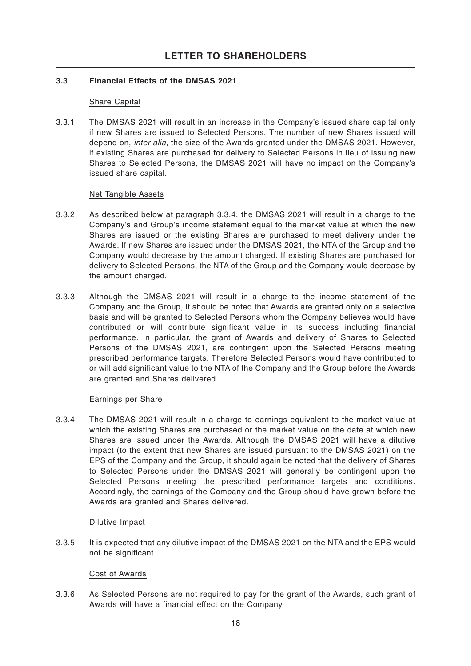### **3.3 Financial Effects of the DMSAS 2021**

### Share Capital

3.3.1 The DMSAS 2021 will result in an increase in the Company's issued share capital only if new Shares are issued to Selected Persons. The number of new Shares issued will depend on, inter alia, the size of the Awards granted under the DMSAS 2021. However, if existing Shares are purchased for delivery to Selected Persons in lieu of issuing new Shares to Selected Persons, the DMSAS 2021 will have no impact on the Company's issued share capital.

### Net Tangible Assets

- 3.3.2 As described below at paragraph 3.3.4, the DMSAS 2021 will result in a charge to the Company's and Group's income statement equal to the market value at which the new Shares are issued or the existing Shares are purchased to meet delivery under the Awards. If new Shares are issued under the DMSAS 2021, the NTA of the Group and the Company would decrease by the amount charged. If existing Shares are purchased for delivery to Selected Persons, the NTA of the Group and the Company would decrease by the amount charged.
- 3.3.3 Although the DMSAS 2021 will result in a charge to the income statement of the Company and the Group, it should be noted that Awards are granted only on a selective basis and will be granted to Selected Persons whom the Company believes would have contributed or will contribute significant value in its success including financial performance. In particular, the grant of Awards and delivery of Shares to Selected Persons of the DMSAS 2021, are contingent upon the Selected Persons meeting prescribed performance targets. Therefore Selected Persons would have contributed to or will add significant value to the NTA of the Company and the Group before the Awards are granted and Shares delivered.

### Earnings per Share

3.3.4 The DMSAS 2021 will result in a charge to earnings equivalent to the market value at which the existing Shares are purchased or the market value on the date at which new Shares are issued under the Awards. Although the DMSAS 2021 will have a dilutive impact (to the extent that new Shares are issued pursuant to the DMSAS 2021) on the EPS of the Company and the Group, it should again be noted that the delivery of Shares to Selected Persons under the DMSAS 2021 will generally be contingent upon the Selected Persons meeting the prescribed performance targets and conditions. Accordingly, the earnings of the Company and the Group should have grown before the Awards are granted and Shares delivered.

### Dilutive Impact

3.3.5 It is expected that any dilutive impact of the DMSAS 2021 on the NTA and the EPS would not be significant.

### Cost of Awards

3.3.6 As Selected Persons are not required to pay for the grant of the Awards, such grant of Awards will have a financial effect on the Company.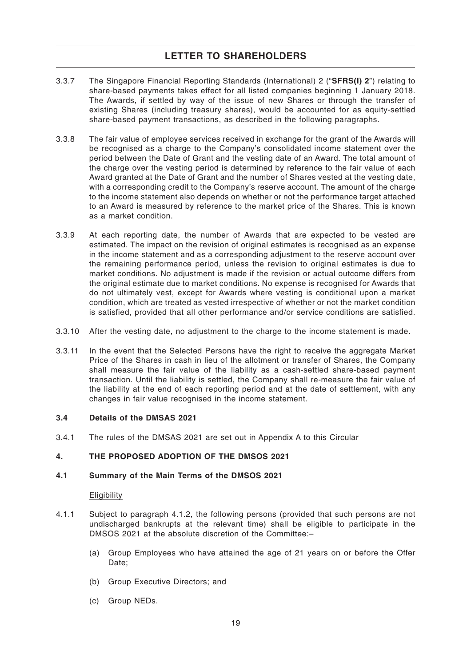- 3.3.7 The Singapore Financial Reporting Standards (International) 2 ("**SFRS(I) 2**") relating to share-based payments takes effect for all listed companies beginning 1 January 2018. The Awards, if settled by way of the issue of new Shares or through the transfer of existing Shares (including treasury shares), would be accounted for as equity-settled share-based payment transactions, as described in the following paragraphs.
- 3.3.8 The fair value of employee services received in exchange for the grant of the Awards will be recognised as a charge to the Company's consolidated income statement over the period between the Date of Grant and the vesting date of an Award. The total amount of the charge over the vesting period is determined by reference to the fair value of each Award granted at the Date of Grant and the number of Shares vested at the vesting date, with a corresponding credit to the Company's reserve account. The amount of the charge to the income statement also depends on whether or not the performance target attached to an Award is measured by reference to the market price of the Shares. This is known as a market condition.
- 3.3.9 At each reporting date, the number of Awards that are expected to be vested are estimated. The impact on the revision of original estimates is recognised as an expense in the income statement and as a corresponding adjustment to the reserve account over the remaining performance period, unless the revision to original estimates is due to market conditions. No adjustment is made if the revision or actual outcome differs from the original estimate due to market conditions. No expense is recognised for Awards that do not ultimately vest, except for Awards where vesting is conditional upon a market condition, which are treated as vested irrespective of whether or not the market condition is satisfied, provided that all other performance and/or service conditions are satisfied.
- 3.3.10 After the vesting date, no adjustment to the charge to the income statement is made.
- 3.3.11 In the event that the Selected Persons have the right to receive the aggregate Market Price of the Shares in cash in lieu of the allotment or transfer of Shares, the Company shall measure the fair value of the liability as a cash-settled share-based payment transaction. Until the liability is settled, the Company shall re-measure the fair value of the liability at the end of each reporting period and at the date of settlement, with any changes in fair value recognised in the income statement.

### **3.4 Details of the DMSAS 2021**

3.4.1 The rules of the DMSAS 2021 are set out in Appendix A to this Circular

### **4. THE PROPOSED ADOPTION OF THE DMSOS 2021**

#### **4.1 Summary of the Main Terms of the DMSOS 2021**

#### **Eligibility**

- 4.1.1 Subject to paragraph 4.1.2, the following persons (provided that such persons are not undischarged bankrupts at the relevant time) shall be eligible to participate in the DMSOS 2021 at the absolute discretion of the Committee:–
	- (a) Group Employees who have attained the age of 21 years on or before the Offer Date;
	- (b) Group Executive Directors; and
	- (c) Group NEDs.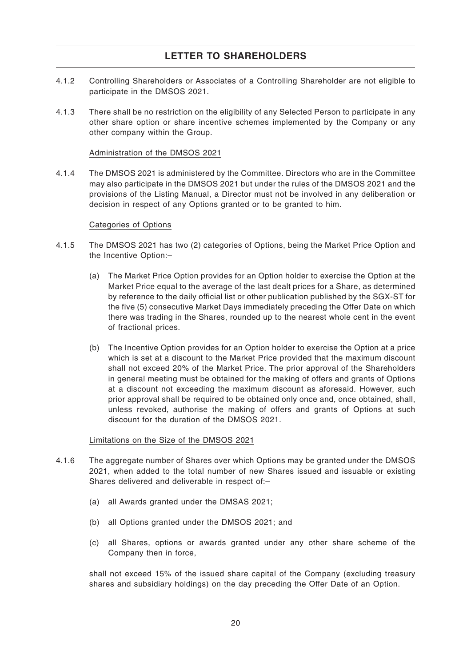- 4.1.2 Controlling Shareholders or Associates of a Controlling Shareholder are not eligible to participate in the DMSOS 2021.
- 4.1.3 There shall be no restriction on the eligibility of any Selected Person to participate in any other share option or share incentive schemes implemented by the Company or any other company within the Group.

### Administration of the DMSOS 2021

4.1.4 The DMSOS 2021 is administered by the Committee. Directors who are in the Committee may also participate in the DMSOS 2021 but under the rules of the DMSOS 2021 and the provisions of the Listing Manual, a Director must not be involved in any deliberation or decision in respect of any Options granted or to be granted to him.

### Categories of Options

- 4.1.5 The DMSOS 2021 has two (2) categories of Options, being the Market Price Option and the Incentive Option:–
	- (a) The Market Price Option provides for an Option holder to exercise the Option at the Market Price equal to the average of the last dealt prices for a Share, as determined by reference to the daily official list or other publication published by the SGX-ST for the five (5) consecutive Market Days immediately preceding the Offer Date on which there was trading in the Shares, rounded up to the nearest whole cent in the event of fractional prices.
	- (b) The Incentive Option provides for an Option holder to exercise the Option at a price which is set at a discount to the Market Price provided that the maximum discount shall not exceed 20% of the Market Price. The prior approval of the Shareholders in general meeting must be obtained for the making of offers and grants of Options at a discount not exceeding the maximum discount as aforesaid. However, such prior approval shall be required to be obtained only once and, once obtained, shall, unless revoked, authorise the making of offers and grants of Options at such discount for the duration of the DMSOS 2021.

### Limitations on the Size of the DMSOS 2021

- 4.1.6 The aggregate number of Shares over which Options may be granted under the DMSOS 2021, when added to the total number of new Shares issued and issuable or existing Shares delivered and deliverable in respect of:–
	- (a) all Awards granted under the DMSAS 2021;
	- (b) all Options granted under the DMSOS 2021; and
	- (c) all Shares, options or awards granted under any other share scheme of the Company then in force,

shall not exceed 15% of the issued share capital of the Company (excluding treasury shares and subsidiary holdings) on the day preceding the Offer Date of an Option.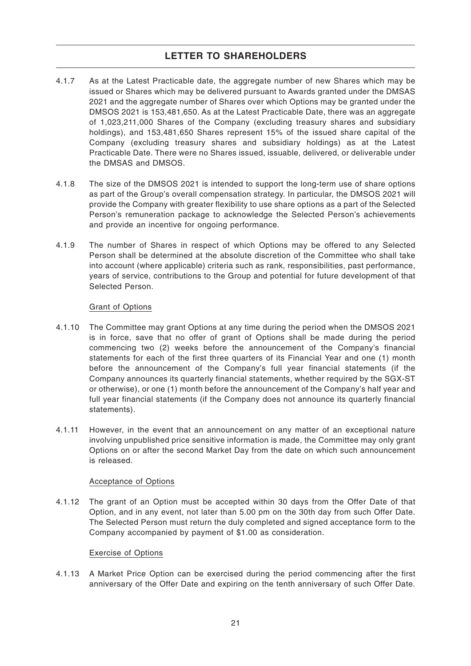- 4.1.7 As at the Latest Practicable date, the aggregate number of new Shares which may be issued or Shares which may be delivered pursuant to Awards granted under the DMSAS 2021 and the aggregate number of Shares over which Options may be granted under the DMSOS 2021 is 153,481,650. As at the Latest Practicable Date, there was an aggregate of 1,023,211,000 Shares of the Company (excluding treasury shares and subsidiary holdings), and 153,481,650 Shares represent 15% of the issued share capital of the Company (excluding treasury shares and subsidiary holdings) as at the Latest Practicable Date. There were no Shares issued, issuable, delivered, or deliverable under the DMSAS and DMSOS.
- 4.1.8 The size of the DMSOS 2021 is intended to support the long-term use of share options as part of the Group's overall compensation strategy. In particular, the DMSOS 2021 will provide the Company with greater flexibility to use share options as a part of the Selected Person's remuneration package to acknowledge the Selected Person's achievements and provide an incentive for ongoing performance.
- 4.1.9 The number of Shares in respect of which Options may be offered to any Selected Person shall be determined at the absolute discretion of the Committee who shall take into account (where applicable) criteria such as rank, responsibilities, past performance, years of service, contributions to the Group and potential for future development of that Selected Person.

### Grant of Options

- 4.1.10 The Committee may grant Options at any time during the period when the DMSOS 2021 is in force, save that no offer of grant of Options shall be made during the period commencing two (2) weeks before the announcement of the Company's financial statements for each of the first three quarters of its Financial Year and one (1) month before the announcement of the Company's full year financial statements (if the Company announces its quarterly financial statements, whether required by the SGX-ST or otherwise), or one (1) month before the announcement of the Company's half year and full year financial statements (if the Company does not announce its quarterly financial statements).
- 4.1.11 However, in the event that an announcement on any matter of an exceptional nature involving unpublished price sensitive information is made, the Committee may only grant Options on or after the second Market Day from the date on which such announcement is released.

### Acceptance of Options

4.1.12 The grant of an Option must be accepted within 30 days from the Offer Date of that Option, and in any event, not later than 5.00 pm on the 30th day from such Offer Date. The Selected Person must return the duly completed and signed acceptance form to the Company accompanied by payment of \$1.00 as consideration.

### Exercise of Options

4.1.13 A Market Price Option can be exercised during the period commencing after the first anniversary of the Offer Date and expiring on the tenth anniversary of such Offer Date.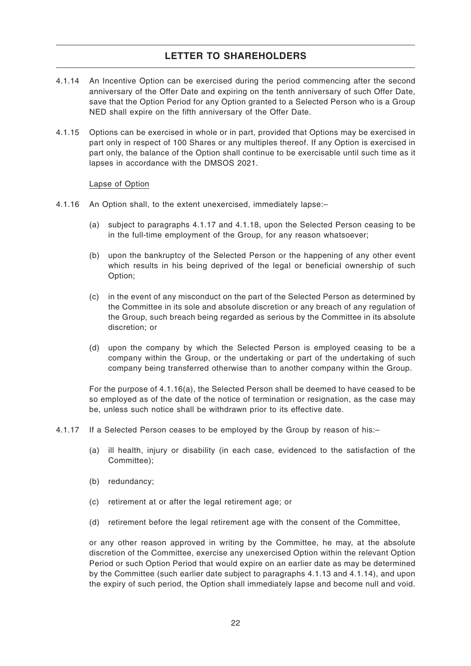- 4.1.14 An Incentive Option can be exercised during the period commencing after the second anniversary of the Offer Date and expiring on the tenth anniversary of such Offer Date, save that the Option Period for any Option granted to a Selected Person who is a Group NED shall expire on the fifth anniversary of the Offer Date.
- 4.1.15 Options can be exercised in whole or in part, provided that Options may be exercised in part only in respect of 100 Shares or any multiples thereof. If any Option is exercised in part only, the balance of the Option shall continue to be exercisable until such time as it lapses in accordance with the DMSOS 2021.

### Lapse of Option

- 4.1.16 An Option shall, to the extent unexercised, immediately lapse:–
	- (a) subject to paragraphs 4.1.17 and 4.1.18, upon the Selected Person ceasing to be in the full-time employment of the Group, for any reason whatsoever;
	- (b) upon the bankruptcy of the Selected Person or the happening of any other event which results in his being deprived of the legal or beneficial ownership of such Option;
	- (c) in the event of any misconduct on the part of the Selected Person as determined by the Committee in its sole and absolute discretion or any breach of any regulation of the Group, such breach being regarded as serious by the Committee in its absolute discretion; or
	- (d) upon the company by which the Selected Person is employed ceasing to be a company within the Group, or the undertaking or part of the undertaking of such company being transferred otherwise than to another company within the Group.

For the purpose of 4.1.16(a), the Selected Person shall be deemed to have ceased to be so employed as of the date of the notice of termination or resignation, as the case may be, unless such notice shall be withdrawn prior to its effective date.

- 4.1.17 If a Selected Person ceases to be employed by the Group by reason of his:–
	- (a) ill health, injury or disability (in each case, evidenced to the satisfaction of the Committee);
	- (b) redundancy;
	- (c) retirement at or after the legal retirement age; or
	- (d) retirement before the legal retirement age with the consent of the Committee,

or any other reason approved in writing by the Committee, he may, at the absolute discretion of the Committee, exercise any unexercised Option within the relevant Option Period or such Option Period that would expire on an earlier date as may be determined by the Committee (such earlier date subject to paragraphs 4.1.13 and 4.1.14), and upon the expiry of such period, the Option shall immediately lapse and become null and void.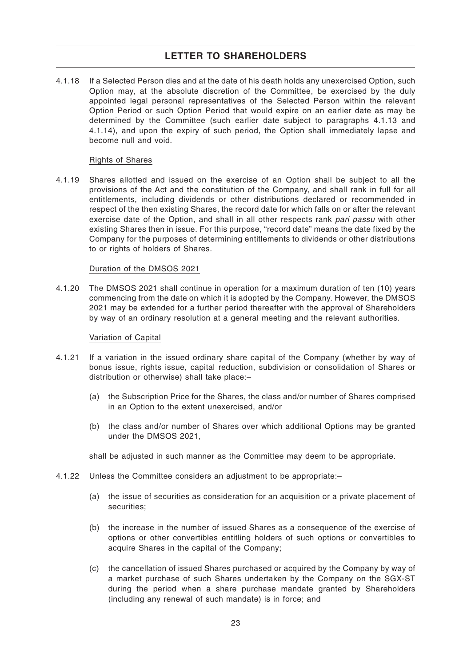4.1.18 If a Selected Person dies and at the date of his death holds any unexercised Option, such Option may, at the absolute discretion of the Committee, be exercised by the duly appointed legal personal representatives of the Selected Person within the relevant Option Period or such Option Period that would expire on an earlier date as may be determined by the Committee (such earlier date subject to paragraphs 4.1.13 and 4.1.14), and upon the expiry of such period, the Option shall immediately lapse and become null and void.

#### Rights of Shares

4.1.19 Shares allotted and issued on the exercise of an Option shall be subject to all the provisions of the Act and the constitution of the Company, and shall rank in full for all entitlements, including dividends or other distributions declared or recommended in respect of the then existing Shares, the record date for which falls on or after the relevant exercise date of the Option, and shall in all other respects rank pari passu with other existing Shares then in issue. For this purpose, "record date" means the date fixed by the Company for the purposes of determining entitlements to dividends or other distributions to or rights of holders of Shares.

#### Duration of the DMSOS 2021

4.1.20 The DMSOS 2021 shall continue in operation for a maximum duration of ten (10) years commencing from the date on which it is adopted by the Company. However, the DMSOS 2021 may be extended for a further period thereafter with the approval of Shareholders by way of an ordinary resolution at a general meeting and the relevant authorities.

#### Variation of Capital

- 4.1.21 If a variation in the issued ordinary share capital of the Company (whether by way of bonus issue, rights issue, capital reduction, subdivision or consolidation of Shares or distribution or otherwise) shall take place:–
	- (a) the Subscription Price for the Shares, the class and/or number of Shares comprised in an Option to the extent unexercised, and/or
	- (b) the class and/or number of Shares over which additional Options may be granted under the DMSOS 2021,

shall be adjusted in such manner as the Committee may deem to be appropriate.

- 4.1.22 Unless the Committee considers an adjustment to be appropriate:–
	- (a) the issue of securities as consideration for an acquisition or a private placement of securities;
	- (b) the increase in the number of issued Shares as a consequence of the exercise of options or other convertibles entitling holders of such options or convertibles to acquire Shares in the capital of the Company;
	- (c) the cancellation of issued Shares purchased or acquired by the Company by way of a market purchase of such Shares undertaken by the Company on the SGX-ST during the period when a share purchase mandate granted by Shareholders (including any renewal of such mandate) is in force; and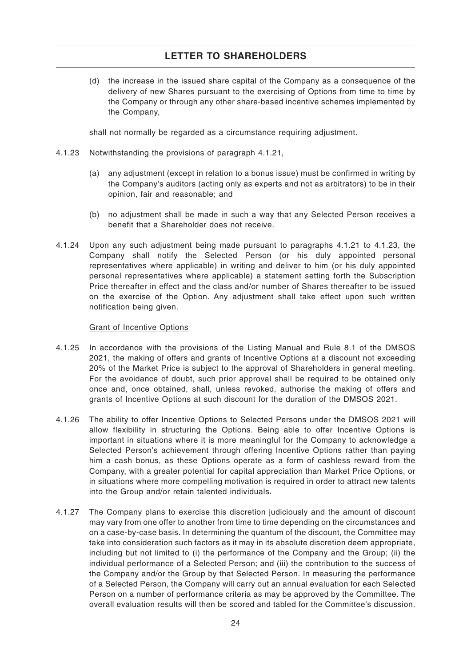(d) the increase in the issued share capital of the Company as a consequence of the delivery of new Shares pursuant to the exercising of Options from time to time by the Company or through any other share-based incentive schemes implemented by the Company,

shall not normally be regarded as a circumstance requiring adjustment.

- 4.1.23 Notwithstanding the provisions of paragraph 4.1.21,
	- (a) any adjustment (except in relation to a bonus issue) must be confirmed in writing by the Company's auditors (acting only as experts and not as arbitrators) to be in their opinion, fair and reasonable; and
	- (b) no adjustment shall be made in such a way that any Selected Person receives a benefit that a Shareholder does not receive.
- 4.1.24 Upon any such adjustment being made pursuant to paragraphs 4.1.21 to 4.1.23, the Company shall notify the Selected Person (or his duly appointed personal representatives where applicable) in writing and deliver to him (or his duly appointed personal representatives where applicable) a statement setting forth the Subscription Price thereafter in effect and the class and/or number of Shares thereafter to be issued on the exercise of the Option. Any adjustment shall take effect upon such written notification being given.

### Grant of Incentive Options

- 4.1.25 In accordance with the provisions of the Listing Manual and Rule 8.1 of the DMSOS 2021, the making of offers and grants of Incentive Options at a discount not exceeding 20% of the Market Price is subject to the approval of Shareholders in general meeting. For the avoidance of doubt, such prior approval shall be required to be obtained only once and, once obtained, shall, unless revoked, authorise the making of offers and grants of Incentive Options at such discount for the duration of the DMSOS 2021.
- 4.1.26 The ability to offer Incentive Options to Selected Persons under the DMSOS 2021 will allow flexibility in structuring the Options. Being able to offer Incentive Options is important in situations where it is more meaningful for the Company to acknowledge a Selected Person's achievement through offering Incentive Options rather than paying him a cash bonus, as these Options operate as a form of cashless reward from the Company, with a greater potential for capital appreciation than Market Price Options, or in situations where more compelling motivation is required in order to attract new talents into the Group and/or retain talented individuals.
- 4.1.27 The Company plans to exercise this discretion judiciously and the amount of discount may vary from one offer to another from time to time depending on the circumstances and on a case-by-case basis. In determining the quantum of the discount, the Committee may take into consideration such factors as it may in its absolute discretion deem appropriate, including but not limited to (i) the performance of the Company and the Group; (ii) the individual performance of a Selected Person; and (iii) the contribution to the success of the Company and/or the Group by that Selected Person. In measuring the performance of a Selected Person, the Company will carry out an annual evaluation for each Selected Person on a number of performance criteria as may be approved by the Committee. The overall evaluation results will then be scored and tabled for the Committee's discussion.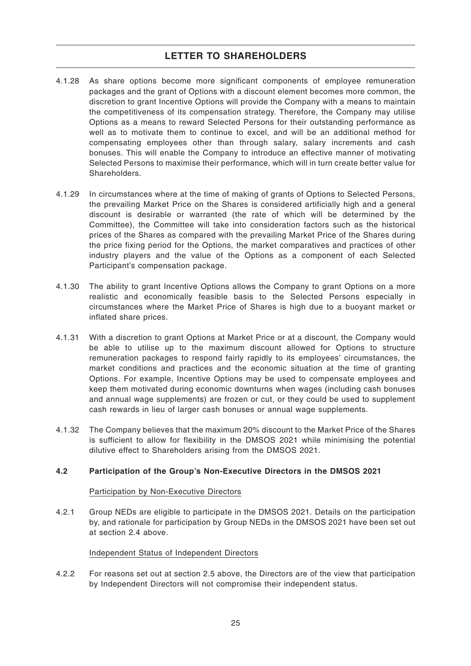- 4.1.28 As share options become more significant components of employee remuneration packages and the grant of Options with a discount element becomes more common, the discretion to grant Incentive Options will provide the Company with a means to maintain the competitiveness of its compensation strategy. Therefore, the Company may utilise Options as a means to reward Selected Persons for their outstanding performance as well as to motivate them to continue to excel, and will be an additional method for compensating employees other than through salary, salary increments and cash bonuses. This will enable the Company to introduce an effective manner of motivating Selected Persons to maximise their performance, which will in turn create better value for **Shareholders**
- 4.1.29 In circumstances where at the time of making of grants of Options to Selected Persons, the prevailing Market Price on the Shares is considered artificially high and a general discount is desirable or warranted (the rate of which will be determined by the Committee), the Committee will take into consideration factors such as the historical prices of the Shares as compared with the prevailing Market Price of the Shares during the price fixing period for the Options, the market comparatives and practices of other industry players and the value of the Options as a component of each Selected Participant's compensation package.
- 4.1.30 The ability to grant Incentive Options allows the Company to grant Options on a more realistic and economically feasible basis to the Selected Persons especially in circumstances where the Market Price of Shares is high due to a buoyant market or inflated share prices.
- 4.1.31 With a discretion to grant Options at Market Price or at a discount, the Company would be able to utilise up to the maximum discount allowed for Options to structure remuneration packages to respond fairly rapidly to its employees' circumstances, the market conditions and practices and the economic situation at the time of granting Options. For example, Incentive Options may be used to compensate employees and keep them motivated during economic downturns when wages (including cash bonuses and annual wage supplements) are frozen or cut, or they could be used to supplement cash rewards in lieu of larger cash bonuses or annual wage supplements.
- 4.1.32 The Company believes that the maximum 20% discount to the Market Price of the Shares is sufficient to allow for flexibility in the DMSOS 2021 while minimising the potential dilutive effect to Shareholders arising from the DMSOS 2021.

### **4.2 Participation of the Group's Non-Executive Directors in the DMSOS 2021**

### Participation by Non-Executive Directors

4.2.1 Group NEDs are eligible to participate in the DMSOS 2021. Details on the participation by, and rationale for participation by Group NEDs in the DMSOS 2021 have been set out at section 2.4 above.

### Independent Status of Independent Directors

4.2.2 For reasons set out at section 2.5 above, the Directors are of the view that participation by Independent Directors will not compromise their independent status.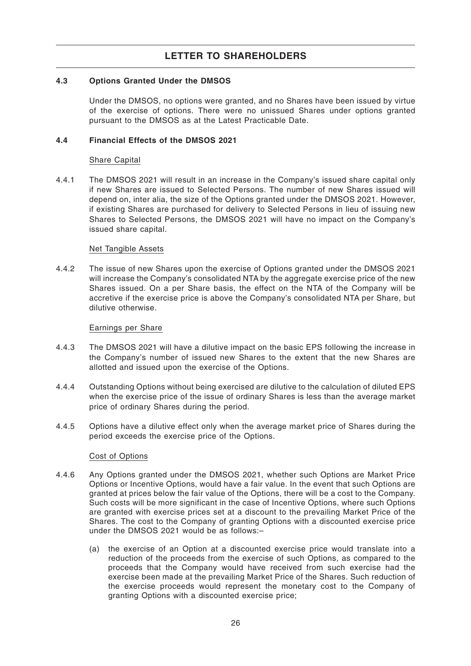### **4.3 Options Granted Under the DMSOS**

Under the DMSOS, no options were granted, and no Shares have been issued by virtue of the exercise of options. There were no unissued Shares under options granted pursuant to the DMSOS as at the Latest Practicable Date.

### **4.4 Financial Effects of the DMSOS 2021**

### Share Capital

4.4.1 The DMSOS 2021 will result in an increase in the Company's issued share capital only if new Shares are issued to Selected Persons. The number of new Shares issued will depend on, inter alia, the size of the Options granted under the DMSOS 2021. However, if existing Shares are purchased for delivery to Selected Persons in lieu of issuing new Shares to Selected Persons, the DMSOS 2021 will have no impact on the Company's issued share capital.

### Net Tangible Assets

4.4.2 The issue of new Shares upon the exercise of Options granted under the DMSOS 2021 will increase the Company's consolidated NTA by the aggregate exercise price of the new Shares issued. On a per Share basis, the effect on the NTA of the Company will be accretive if the exercise price is above the Company's consolidated NTA per Share, but dilutive otherwise.

### Earnings per Share

- 4.4.3 The DMSOS 2021 will have a dilutive impact on the basic EPS following the increase in the Company's number of issued new Shares to the extent that the new Shares are allotted and issued upon the exercise of the Options.
- 4.4.4 Outstanding Options without being exercised are dilutive to the calculation of diluted EPS when the exercise price of the issue of ordinary Shares is less than the average market price of ordinary Shares during the period.
- 4.4.5 Options have a dilutive effect only when the average market price of Shares during the period exceeds the exercise price of the Options.

### Cost of Options

- 4.4.6 Any Options granted under the DMSOS 2021, whether such Options are Market Price Options or Incentive Options, would have a fair value. In the event that such Options are granted at prices below the fair value of the Options, there will be a cost to the Company. Such costs will be more significant in the case of Incentive Options, where such Options are granted with exercise prices set at a discount to the prevailing Market Price of the Shares. The cost to the Company of granting Options with a discounted exercise price under the DMSOS 2021 would be as follows:–
	- (a) the exercise of an Option at a discounted exercise price would translate into a reduction of the proceeds from the exercise of such Options, as compared to the proceeds that the Company would have received from such exercise had the exercise been made at the prevailing Market Price of the Shares. Such reduction of the exercise proceeds would represent the monetary cost to the Company of granting Options with a discounted exercise price;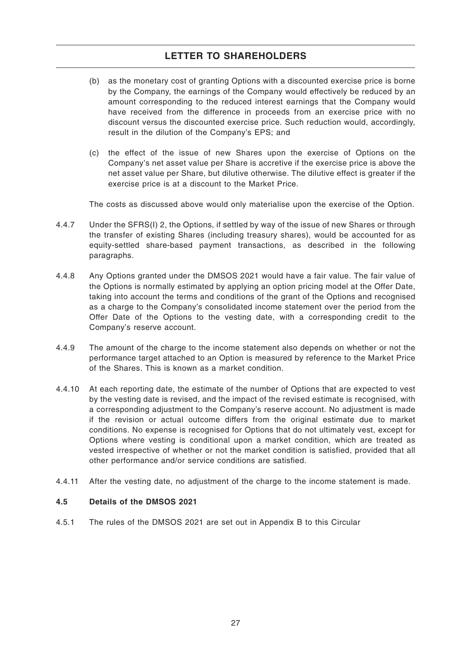- (b) as the monetary cost of granting Options with a discounted exercise price is borne by the Company, the earnings of the Company would effectively be reduced by an amount corresponding to the reduced interest earnings that the Company would have received from the difference in proceeds from an exercise price with no discount versus the discounted exercise price. Such reduction would, accordingly, result in the dilution of the Company's EPS; and
- (c) the effect of the issue of new Shares upon the exercise of Options on the Company's net asset value per Share is accretive if the exercise price is above the net asset value per Share, but dilutive otherwise. The dilutive effect is greater if the exercise price is at a discount to the Market Price.

The costs as discussed above would only materialise upon the exercise of the Option.

- 4.4.7 Under the SFRS(I) 2, the Options, if settled by way of the issue of new Shares or through the transfer of existing Shares (including treasury shares), would be accounted for as equity-settled share-based payment transactions, as described in the following paragraphs.
- 4.4.8 Any Options granted under the DMSOS 2021 would have a fair value. The fair value of the Options is normally estimated by applying an option pricing model at the Offer Date, taking into account the terms and conditions of the grant of the Options and recognised as a charge to the Company's consolidated income statement over the period from the Offer Date of the Options to the vesting date, with a corresponding credit to the Company's reserve account.
- 4.4.9 The amount of the charge to the income statement also depends on whether or not the performance target attached to an Option is measured by reference to the Market Price of the Shares. This is known as a market condition.
- 4.4.10 At each reporting date, the estimate of the number of Options that are expected to vest by the vesting date is revised, and the impact of the revised estimate is recognised, with a corresponding adjustment to the Company's reserve account. No adjustment is made if the revision or actual outcome differs from the original estimate due to market conditions. No expense is recognised for Options that do not ultimately vest, except for Options where vesting is conditional upon a market condition, which are treated as vested irrespective of whether or not the market condition is satisfied, provided that all other performance and/or service conditions are satisfied.
- 4.4.11 After the vesting date, no adjustment of the charge to the income statement is made.

### **4.5 Details of the DMSOS 2021**

4.5.1 The rules of the DMSOS 2021 are set out in Appendix B to this Circular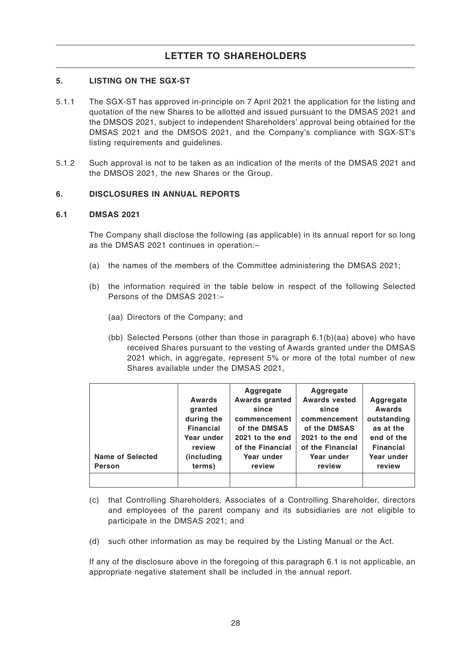### **5. LISTING ON THE SGX-ST**

- 5.1.1 The SGX-ST has approved in-principle on 7 April 2021 the application for the listing and quotation of the new Shares to be allotted and issued pursuant to the DMSAS 2021 and the DMSOS 2021, subject to independent Shareholders' approval being obtained for the DMSAS 2021 and the DMSOS 2021, and the Company's compliance with SGX-ST's listing requirements and guidelines.
- 5.1.2 Such approval is not to be taken as an indication of the merits of the DMSAS 2021 and the DMSOS 2021, the new Shares or the Group.

#### **6. DISCLOSURES IN ANNUAL REPORTS**

#### **6.1 DMSAS 2021**

The Company shall disclose the following (as applicable) in its annual report for so long as the DMSAS 2021 continues in operation:–

- (a) the names of the members of the Committee administering the DMSAS 2021;
- (b) the information required in the table below in respect of the following Selected Persons of the DMSAS 2021:–
	- (aa) Directors of the Company; and
	- (bb) Selected Persons (other than those in paragraph 6.1(b)(aa) above) who have received Shares pursuant to the vesting of Awards granted under the DMSAS 2021 which, in aggregate, represent 5% or more of the total number of new Shares available under the DMSAS 2021,

| <b>Name of Selected</b><br><b>Person</b> | <b>Awards</b><br>granted<br>during the<br><b>Financial</b><br>Year under<br>review<br>(including<br>terms) | Aggregate<br><b>Awards granted</b><br>since<br>commencement<br>of the DMSAS<br>2021 to the end<br>of the Financial<br>Year under<br>review | Aggregate<br><b>Awards vested</b><br>since<br>commencement<br>of the DMSAS<br>2021 to the end<br>of the Financial<br>Year under<br>review | Aggregate<br><b>Awards</b><br>outstanding<br>as at the<br>end of the<br><b>Financial</b><br>Year under<br>review |
|------------------------------------------|------------------------------------------------------------------------------------------------------------|--------------------------------------------------------------------------------------------------------------------------------------------|-------------------------------------------------------------------------------------------------------------------------------------------|------------------------------------------------------------------------------------------------------------------|
|                                          |                                                                                                            |                                                                                                                                            |                                                                                                                                           |                                                                                                                  |

- (c) that Controlling Shareholders, Associates of a Controlling Shareholder, directors and employees of the parent company and its subsidiaries are not eligible to participate in the DMSAS 2021; and
- (d) such other information as may be required by the Listing Manual or the Act.

If any of the disclosure above in the foregoing of this paragraph 6.1 is not applicable, an appropriate negative statement shall be included in the annual report.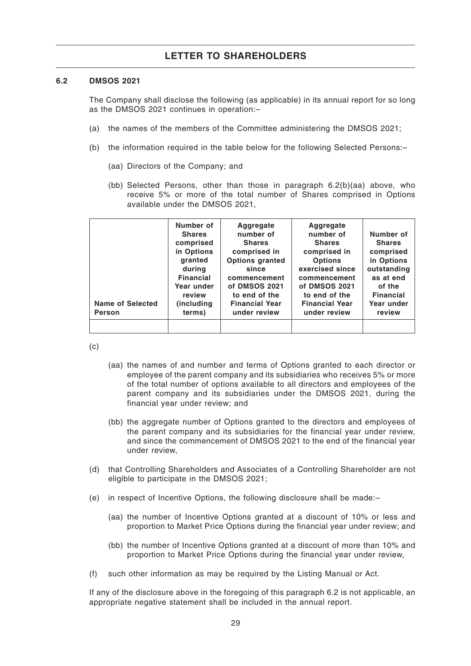#### **6.2 DMSOS 2021**

The Company shall disclose the following (as applicable) in its annual report for so long as the DMSOS 2021 continues in operation:–

- (a) the names of the members of the Committee administering the DMSOS 2021;
- (b) the information required in the table below for the following Selected Persons:–
	- (aa) Directors of the Company; and
	- (bb) Selected Persons, other than those in paragraph 6.2(b)(aa) above, who receive 5% or more of the total number of Shares comprised in Options available under the DMSOS 2021,

| <b>Name of Selected</b><br><b>Person</b> | Number of<br><b>Shares</b><br>comprised<br>in Options<br>granted<br>during<br><b>Financial</b><br>Year under<br>review<br>(including)<br>terms) | Aggregate<br>number of<br><b>Shares</b><br>comprised in<br><b>Options granted</b><br>since<br>commencement<br>of DMSOS 2021<br>to end of the<br><b>Financial Year</b><br>under review | Aggregate<br>number of<br><b>Shares</b><br>comprised in<br><b>Options</b><br>exercised since<br>commencement<br>of DMSOS 2021<br>to end of the<br><b>Financial Year</b><br>under review | Number of<br><b>Shares</b><br>comprised<br>in Options<br>outstanding<br>as at end<br>of the<br><b>Financial</b><br>Year under<br>review |
|------------------------------------------|-------------------------------------------------------------------------------------------------------------------------------------------------|---------------------------------------------------------------------------------------------------------------------------------------------------------------------------------------|-----------------------------------------------------------------------------------------------------------------------------------------------------------------------------------------|-----------------------------------------------------------------------------------------------------------------------------------------|
|                                          |                                                                                                                                                 |                                                                                                                                                                                       |                                                                                                                                                                                         |                                                                                                                                         |

(c)

- (aa) the names of and number and terms of Options granted to each director or employee of the parent company and its subsidiaries who receives 5% or more of the total number of options available to all directors and employees of the parent company and its subsidiaries under the DMSOS 2021, during the financial year under review; and
- (bb) the aggregate number of Options granted to the directors and employees of the parent company and its subsidiaries for the financial year under review, and since the commencement of DMSOS 2021 to the end of the financial year under review,
- (d) that Controlling Shareholders and Associates of a Controlling Shareholder are not eligible to participate in the DMSOS 2021;
- (e) in respect of Incentive Options, the following disclosure shall be made:–
	- (aa) the number of Incentive Options granted at a discount of 10% or less and proportion to Market Price Options during the financial year under review; and
	- (bb) the number of Incentive Options granted at a discount of more than 10% and proportion to Market Price Options during the financial year under review,
- (f) such other information as may be required by the Listing Manual or Act.

If any of the disclosure above in the foregoing of this paragraph 6.2 is not applicable, an appropriate negative statement shall be included in the annual report.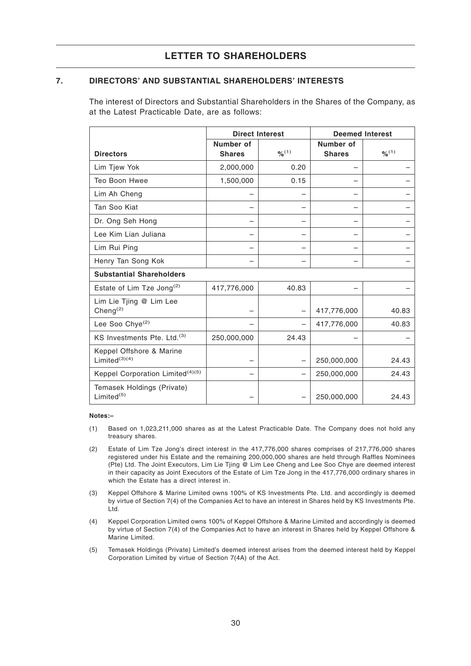### **7. DIRECTORS' AND SUBSTANTIAL SHAREHOLDERS' INTERESTS**

The interest of Directors and Substantial Shareholders in the Shares of the Company, as at the Latest Practicable Date, are as follows:

|                                                 |                            | <b>Direct Interest</b> | <b>Deemed Interest</b>     |        |
|-------------------------------------------------|----------------------------|------------------------|----------------------------|--------|
| <b>Directors</b>                                | Number of<br><b>Shares</b> | 9/6(1)                 | Number of<br><b>Shares</b> | 9/6(1) |
| Lim Tjew Yok                                    | 2,000,000                  | 0.20                   |                            |        |
| Teo Boon Hwee                                   | 1,500,000                  | 0.15                   |                            |        |
| Lim Ah Cheng                                    |                            |                        |                            |        |
| Tan Soo Kiat                                    |                            |                        |                            |        |
| Dr. Ong Seh Hong                                |                            |                        |                            |        |
| Lee Kim Lian Juliana                            |                            |                        |                            |        |
| Lim Rui Ping                                    |                            |                        |                            |        |
| Henry Tan Song Kok                              |                            |                        |                            |        |
| <b>Substantial Shareholders</b>                 |                            |                        |                            |        |
| Estate of Lim Tze Jong <sup>(2)</sup>           | 417,776,000                | 40.83                  |                            |        |
| Lim Lie Tjing @ Lim Lee<br>Cheng <sup>(2)</sup> |                            |                        | 417,776,000                | 40.83  |
| Lee Soo Chye <sup>(2)</sup>                     |                            |                        | 417,776,000                | 40.83  |
| KS Investments Pte. Ltd.(3)                     | 250,000,000                | 24.43                  |                            |        |
| Keppel Offshore & Marine<br>Limited $(3)(4)$    |                            |                        | 250,000,000                | 24.43  |
| Keppel Corporation Limited <sup>(4)(5)</sup>    |                            |                        | 250,000,000                | 24.43  |
| Temasek Holdings (Private)<br>Limited $(5)$     |                            |                        | 250,000,000                | 24.43  |

#### **Notes:–**

- (1) Based on 1,023,211,000 shares as at the Latest Practicable Date. The Company does not hold any treasury shares.
- (2) Estate of Lim Tze Jong's direct interest in the 417,776,000 shares comprises of 217,776,000 shares registered under his Estate and the remaining 200,000,000 shares are held through Raffles Nominees (Pte) Ltd. The Joint Executors, Lim Lie Tjing @ Lim Lee Cheng and Lee Soo Chye are deemed interest in their capacity as Joint Executors of the Estate of Lim Tze Jong in the 417,776,000 ordinary shares in which the Estate has a direct interest in.
- (3) Keppel Offshore & Marine Limited owns 100% of KS Investments Pte. Ltd. and accordingly is deemed by virtue of Section 7(4) of the Companies Act to have an interest in Shares held by KS Investments Pte. Ltd.
- (4) Keppel Corporation Limited owns 100% of Keppel Offshore & Marine Limited and accordingly is deemed by virtue of Section 7(4) of the Companies Act to have an interest in Shares held by Keppel Offshore & Marine Limited.
- (5) Temasek Holdings (Private) Limited's deemed interest arises from the deemed interest held by Keppel Corporation Limited by virtue of Section 7(4A) of the Act.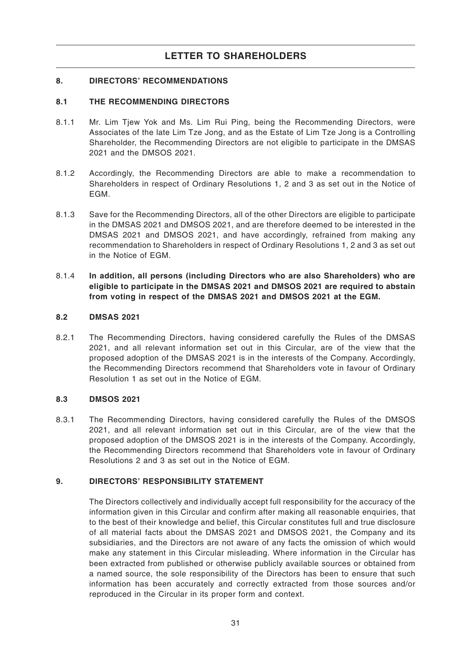### **8. DIRECTORS' RECOMMENDATIONS**

### **8.1 THE RECOMMENDING DIRECTORS**

- 8.1.1 Mr. Lim Tjew Yok and Ms. Lim Rui Ping, being the Recommending Directors, were Associates of the late Lim Tze Jong, and as the Estate of Lim Tze Jong is a Controlling Shareholder, the Recommending Directors are not eligible to participate in the DMSAS 2021 and the DMSOS 2021.
- 8.1.2 Accordingly, the Recommending Directors are able to make a recommendation to Shareholders in respect of Ordinary Resolutions 1, 2 and 3 as set out in the Notice of EGM.
- 8.1.3 Save for the Recommending Directors, all of the other Directors are eligible to participate in the DMSAS 2021 and DMSOS 2021, and are therefore deemed to be interested in the DMSAS 2021 and DMSOS 2021, and have accordingly, refrained from making any recommendation to Shareholders in respect of Ordinary Resolutions 1, 2 and 3 as set out in the Notice of EGM.
- 8.1.4 **In addition, all persons (including Directors who are also Shareholders) who are eligible to participate in the DMSAS 2021 and DMSOS 2021 are required to abstain from voting in respect of the DMSAS 2021 and DMSOS 2021 at the EGM.**

### **8.2 DMSAS 2021**

8.2.1 The Recommending Directors, having considered carefully the Rules of the DMSAS 2021, and all relevant information set out in this Circular, are of the view that the proposed adoption of the DMSAS 2021 is in the interests of the Company. Accordingly, the Recommending Directors recommend that Shareholders vote in favour of Ordinary Resolution 1 as set out in the Notice of EGM.

### **8.3 DMSOS 2021**

8.3.1 The Recommending Directors, having considered carefully the Rules of the DMSOS 2021, and all relevant information set out in this Circular, are of the view that the proposed adoption of the DMSOS 2021 is in the interests of the Company. Accordingly, the Recommending Directors recommend that Shareholders vote in favour of Ordinary Resolutions 2 and 3 as set out in the Notice of EGM.

### **9. DIRECTORS' RESPONSIBILITY STATEMENT**

The Directors collectively and individually accept full responsibility for the accuracy of the information given in this Circular and confirm after making all reasonable enquiries, that to the best of their knowledge and belief, this Circular constitutes full and true disclosure of all material facts about the DMSAS 2021 and DMSOS 2021, the Company and its subsidiaries, and the Directors are not aware of any facts the omission of which would make any statement in this Circular misleading. Where information in the Circular has been extracted from published or otherwise publicly available sources or obtained from a named source, the sole responsibility of the Directors has been to ensure that such information has been accurately and correctly extracted from those sources and/or reproduced in the Circular in its proper form and context.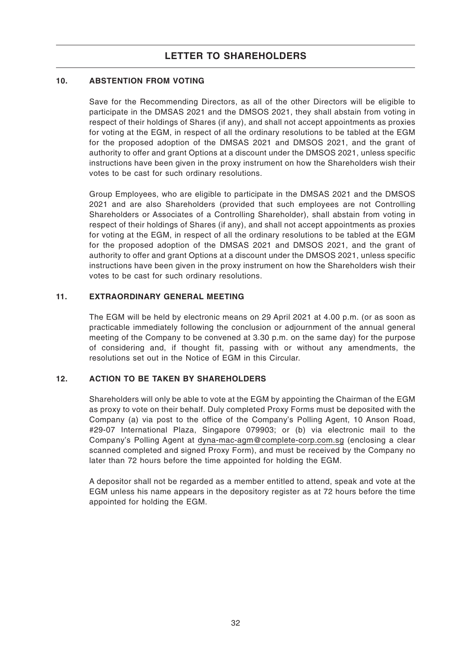### **10. ABSTENTION FROM VOTING**

Save for the Recommending Directors, as all of the other Directors will be eligible to participate in the DMSAS 2021 and the DMSOS 2021, they shall abstain from voting in respect of their holdings of Shares (if any), and shall not accept appointments as proxies for voting at the EGM, in respect of all the ordinary resolutions to be tabled at the EGM for the proposed adoption of the DMSAS 2021 and DMSOS 2021, and the grant of authority to offer and grant Options at a discount under the DMSOS 2021, unless specific instructions have been given in the proxy instrument on how the Shareholders wish their votes to be cast for such ordinary resolutions.

Group Employees, who are eligible to participate in the DMSAS 2021 and the DMSOS 2021 and are also Shareholders (provided that such employees are not Controlling Shareholders or Associates of a Controlling Shareholder), shall abstain from voting in respect of their holdings of Shares (if any), and shall not accept appointments as proxies for voting at the EGM, in respect of all the ordinary resolutions to be tabled at the EGM for the proposed adoption of the DMSAS 2021 and DMSOS 2021, and the grant of authority to offer and grant Options at a discount under the DMSOS 2021, unless specific instructions have been given in the proxy instrument on how the Shareholders wish their votes to be cast for such ordinary resolutions.

### **11. EXTRAORDINARY GENERAL MEETING**

The EGM will be held by electronic means on 29 April 2021 at 4.00 p.m. (or as soon as practicable immediately following the conclusion or adjournment of the annual general meeting of the Company to be convened at 3.30 p.m. on the same day) for the purpose of considering and, if thought fit, passing with or without any amendments, the resolutions set out in the Notice of EGM in this Circular.

### **12. ACTION TO BE TAKEN BY SHAREHOLDERS**

Shareholders will only be able to vote at the EGM by appointing the Chairman of the EGM as proxy to vote on their behalf. Duly completed Proxy Forms must be deposited with the Company (a) via post to the office of the Company's Polling Agent, 10 Anson Road, #29-07 International Plaza, Singapore 079903; or (b) via electronic mail to the Company's Polling Agent at dyna-mac-agm@complete-corp.com.sg (enclosing a clear scanned completed and signed Proxy Form), and must be received by the Company no later than 72 hours before the time appointed for holding the EGM.

A depositor shall not be regarded as a member entitled to attend, speak and vote at the EGM unless his name appears in the depository register as at 72 hours before the time appointed for holding the EGM.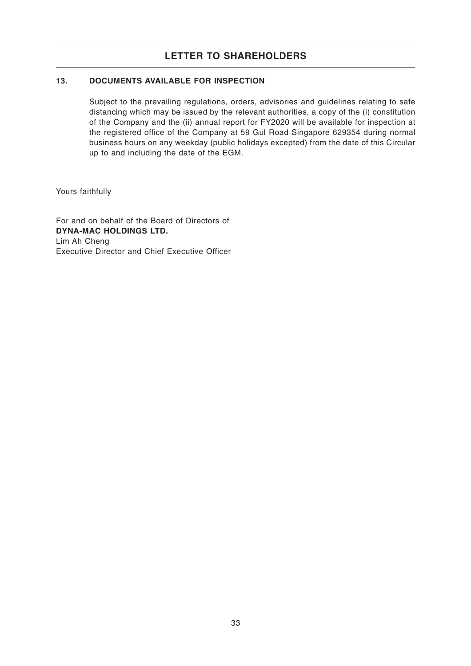### **13. DOCUMENTS AVAILABLE FOR INSPECTION**

Subject to the prevailing regulations, orders, advisories and guidelines relating to safe distancing which may be issued by the relevant authorities, a copy of the (i) constitution of the Company and the (ii) annual report for FY2020 will be available for inspection at the registered office of the Company at 59 Gul Road Singapore 629354 during normal business hours on any weekday (public holidays excepted) from the date of this Circular up to and including the date of the EGM.

Yours faithfully

For and on behalf of the Board of Directors of **DYNA-MAC HOLDINGS LTD.** Lim Ah Cheng Executive Director and Chief Executive Officer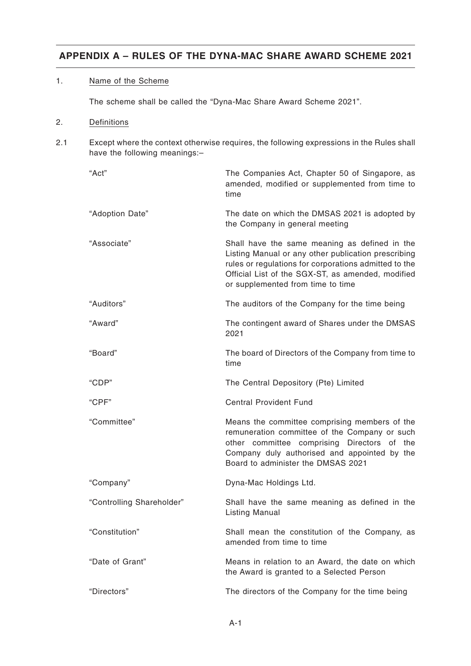### 1. Name of the Scheme

The scheme shall be called the "Dyna-Mac Share Award Scheme 2021".

### 2. Definitions

2.1 Except where the context otherwise requires, the following expressions in the Rules shall have the following meanings:-

| "Act"                     | The Companies Act, Chapter 50 of Singapore, as<br>amended, modified or supplemented from time to<br>time                                                                                                                                                |
|---------------------------|---------------------------------------------------------------------------------------------------------------------------------------------------------------------------------------------------------------------------------------------------------|
| "Adoption Date"           | The date on which the DMSAS 2021 is adopted by<br>the Company in general meeting                                                                                                                                                                        |
| "Associate"               | Shall have the same meaning as defined in the<br>Listing Manual or any other publication prescribing<br>rules or regulations for corporations admitted to the<br>Official List of the SGX-ST, as amended, modified<br>or supplemented from time to time |
| "Auditors"                | The auditors of the Company for the time being                                                                                                                                                                                                          |
| "Award"                   | The contingent award of Shares under the DMSAS<br>2021                                                                                                                                                                                                  |
| "Board"                   | The board of Directors of the Company from time to<br>time                                                                                                                                                                                              |
| "CDP"                     | The Central Depository (Pte) Limited                                                                                                                                                                                                                    |
| "CPF"                     | <b>Central Provident Fund</b>                                                                                                                                                                                                                           |
| "Committee"               | Means the committee comprising members of the<br>remuneration committee of the Company or such<br>other committee comprising Directors of the<br>Company duly authorised and appointed by the<br>Board to administer the DMSAS 2021                     |
| "Company"                 | Dyna-Mac Holdings Ltd.                                                                                                                                                                                                                                  |
| "Controlling Shareholder" | Shall have the same meaning as defined in the<br><b>Listing Manual</b>                                                                                                                                                                                  |
| "Constitution"            | Shall mean the constitution of the Company, as<br>amended from time to time                                                                                                                                                                             |
| "Date of Grant"           | Means in relation to an Award, the date on which<br>the Award is granted to a Selected Person                                                                                                                                                           |
| "Directors"               | The directors of the Company for the time being                                                                                                                                                                                                         |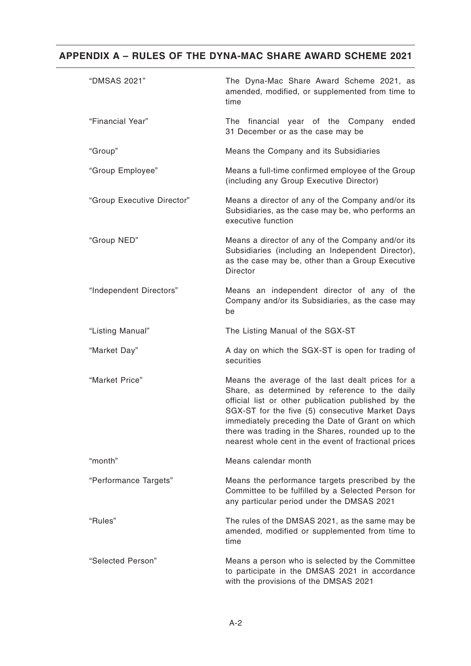| "DMSAS 2021"               | The Dyna-Mac Share Award Scheme 2021, as<br>amended, modified, or supplemented from time to<br>time                                                                                                                                                                                                                                                                            |
|----------------------------|--------------------------------------------------------------------------------------------------------------------------------------------------------------------------------------------------------------------------------------------------------------------------------------------------------------------------------------------------------------------------------|
| "Financial Year"           | The financial year of the Company<br>ended<br>31 December or as the case may be                                                                                                                                                                                                                                                                                                |
| "Group"                    | Means the Company and its Subsidiaries                                                                                                                                                                                                                                                                                                                                         |
| "Group Employee"           | Means a full-time confirmed employee of the Group<br>(including any Group Executive Director)                                                                                                                                                                                                                                                                                  |
| "Group Executive Director" | Means a director of any of the Company and/or its<br>Subsidiaries, as the case may be, who performs an<br>executive function                                                                                                                                                                                                                                                   |
| "Group NED"                | Means a director of any of the Company and/or its<br>Subsidiaries (including an Independent Director),<br>as the case may be, other than a Group Executive<br><b>Director</b>                                                                                                                                                                                                  |
| "Independent Directors"    | Means an independent director of any of the<br>Company and/or its Subsidiaries, as the case may<br>be                                                                                                                                                                                                                                                                          |
| "Listing Manual"           | The Listing Manual of the SGX-ST                                                                                                                                                                                                                                                                                                                                               |
| "Market Day"               | A day on which the SGX-ST is open for trading of<br>securities                                                                                                                                                                                                                                                                                                                 |
| "Market Price"             | Means the average of the last dealt prices for a<br>Share, as determined by reference to the daily<br>official list or other publication published by the<br>SGX-ST for the five (5) consecutive Market Days<br>immediately preceding the Date of Grant on which<br>there was trading in the Shares, rounded up to the<br>nearest whole cent in the event of fractional prices |
| "month"                    | Means calendar month                                                                                                                                                                                                                                                                                                                                                           |
| "Performance Targets"      | Means the performance targets prescribed by the<br>Committee to be fulfilled by a Selected Person for<br>any particular period under the DMSAS 2021                                                                                                                                                                                                                            |
| "Rules"                    | The rules of the DMSAS 2021, as the same may be<br>amended, modified or supplemented from time to<br>time                                                                                                                                                                                                                                                                      |
| "Selected Person"          | Means a person who is selected by the Committee<br>to participate in the DMSAS 2021 in accordance<br>with the provisions of the DMSAS 2021                                                                                                                                                                                                                                     |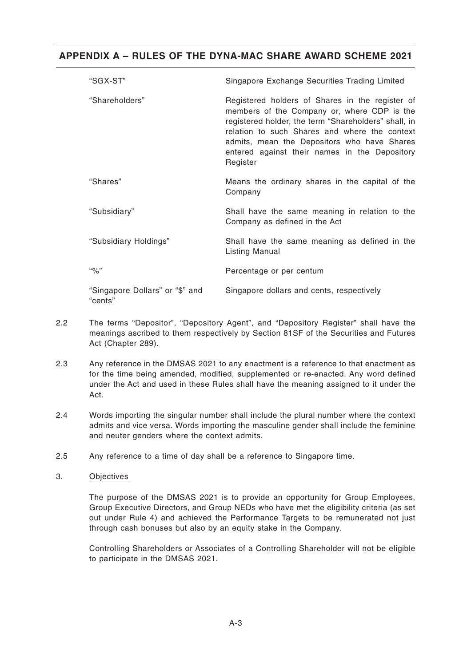| "SGX-ST"                                   | Singapore Exchange Securities Trading Limited                                                                                                                                                                                                                                                                       |
|--------------------------------------------|---------------------------------------------------------------------------------------------------------------------------------------------------------------------------------------------------------------------------------------------------------------------------------------------------------------------|
| "Shareholders"                             | Registered holders of Shares in the register of<br>members of the Company or, where CDP is the<br>registered holder, the term "Shareholders" shall, in<br>relation to such Shares and where the context<br>admits, mean the Depositors who have Shares<br>entered against their names in the Depository<br>Register |
| "Shares"                                   | Means the ordinary shares in the capital of the<br>Company                                                                                                                                                                                                                                                          |
| "Subsidiary"                               | Shall have the same meaning in relation to the<br>Company as defined in the Act                                                                                                                                                                                                                                     |
| "Subsidiary Holdings"                      | Shall have the same meaning as defined in the<br><b>Listing Manual</b>                                                                                                                                                                                                                                              |
| $``\%"$                                    | Percentage or per centum                                                                                                                                                                                                                                                                                            |
| "Singapore Dollars" or "\$" and<br>"cents" | Singapore dollars and cents, respectively                                                                                                                                                                                                                                                                           |

- 2.2 The terms "Depositor", "Depository Agent", and "Depository Register" shall have the meanings ascribed to them respectively by Section 81SF of the Securities and Futures Act (Chapter 289).
- 2.3 Any reference in the DMSAS 2021 to any enactment is a reference to that enactment as for the time being amended, modified, supplemented or re-enacted. Any word defined under the Act and used in these Rules shall have the meaning assigned to it under the Act.
- 2.4 Words importing the singular number shall include the plural number where the context admits and vice versa. Words importing the masculine gender shall include the feminine and neuter genders where the context admits.
- 2.5 Any reference to a time of day shall be a reference to Singapore time.
- 3. Objectives

The purpose of the DMSAS 2021 is to provide an opportunity for Group Employees, Group Executive Directors, and Group NEDs who have met the eligibility criteria (as set out under Rule 4) and achieved the Performance Targets to be remunerated not just through cash bonuses but also by an equity stake in the Company.

Controlling Shareholders or Associates of a Controlling Shareholder will not be eligible to participate in the DMSAS 2021.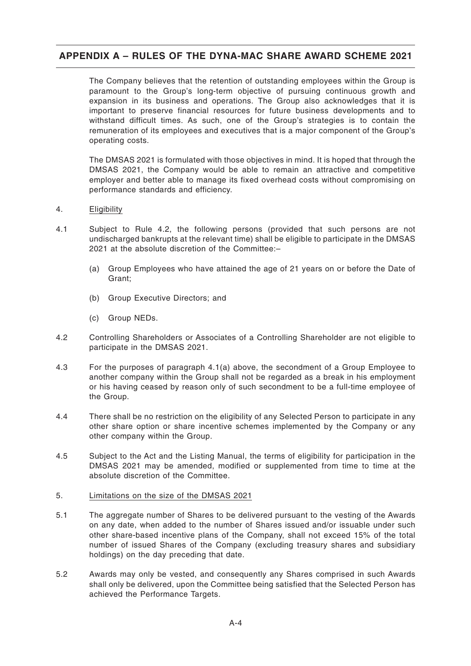The Company believes that the retention of outstanding employees within the Group is paramount to the Group's long-term objective of pursuing continuous growth and expansion in its business and operations. The Group also acknowledges that it is important to preserve financial resources for future business developments and to withstand difficult times. As such, one of the Group's strategies is to contain the remuneration of its employees and executives that is a major component of the Group's operating costs.

The DMSAS 2021 is formulated with those objectives in mind. It is hoped that through the DMSAS 2021, the Company would be able to remain an attractive and competitive employer and better able to manage its fixed overhead costs without compromising on performance standards and efficiency.

#### 4. Eligibility

- 4.1 Subject to Rule 4.2, the following persons (provided that such persons are not undischarged bankrupts at the relevant time) shall be eligible to participate in the DMSAS 2021 at the absolute discretion of the Committee:–
	- (a) Group Employees who have attained the age of 21 years on or before the Date of Grant;
	- (b) Group Executive Directors; and
	- (c) Group NEDs.
- 4.2 Controlling Shareholders or Associates of a Controlling Shareholder are not eligible to participate in the DMSAS 2021.
- 4.3 For the purposes of paragraph 4.1(a) above, the secondment of a Group Employee to another company within the Group shall not be regarded as a break in his employment or his having ceased by reason only of such secondment to be a full-time employee of the Group.
- 4.4 There shall be no restriction on the eligibility of any Selected Person to participate in any other share option or share incentive schemes implemented by the Company or any other company within the Group.
- 4.5 Subject to the Act and the Listing Manual, the terms of eligibility for participation in the DMSAS 2021 may be amended, modified or supplemented from time to time at the absolute discretion of the Committee.

#### 5. Limitations on the size of the DMSAS 2021

- 5.1 The aggregate number of Shares to be delivered pursuant to the vesting of the Awards on any date, when added to the number of Shares issued and/or issuable under such other share-based incentive plans of the Company, shall not exceed 15% of the total number of issued Shares of the Company (excluding treasury shares and subsidiary holdings) on the day preceding that date.
- 5.2 Awards may only be vested, and consequently any Shares comprised in such Awards shall only be delivered, upon the Committee being satisfied that the Selected Person has achieved the Performance Targets.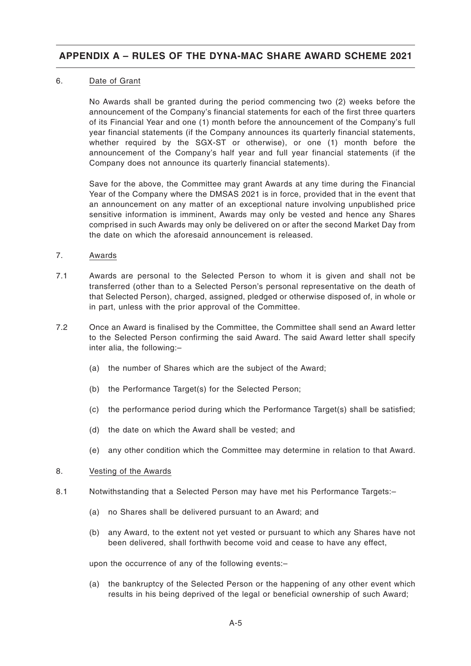### 6. Date of Grant

No Awards shall be granted during the period commencing two (2) weeks before the announcement of the Company's financial statements for each of the first three quarters of its Financial Year and one (1) month before the announcement of the Company's full year financial statements (if the Company announces its quarterly financial statements, whether required by the SGX-ST or otherwise), or one (1) month before the announcement of the Company's half year and full year financial statements (if the Company does not announce its quarterly financial statements).

Save for the above, the Committee may grant Awards at any time during the Financial Year of the Company where the DMSAS 2021 is in force, provided that in the event that an announcement on any matter of an exceptional nature involving unpublished price sensitive information is imminent, Awards may only be vested and hence any Shares comprised in such Awards may only be delivered on or after the second Market Day from the date on which the aforesaid announcement is released.

- 7. Awards
- 7.1 Awards are personal to the Selected Person to whom it is given and shall not be transferred (other than to a Selected Person's personal representative on the death of that Selected Person), charged, assigned, pledged or otherwise disposed of, in whole or in part, unless with the prior approval of the Committee.
- 7.2 Once an Award is finalised by the Committee, the Committee shall send an Award letter to the Selected Person confirming the said Award. The said Award letter shall specify inter alia, the following:–
	- (a) the number of Shares which are the subject of the Award;
	- (b) the Performance Target(s) for the Selected Person;
	- (c) the performance period during which the Performance Target(s) shall be satisfied;
	- (d) the date on which the Award shall be vested; and
	- (e) any other condition which the Committee may determine in relation to that Award.

#### 8. Vesting of the Awards

- 8.1 Notwithstanding that a Selected Person may have met his Performance Targets:–
	- (a) no Shares shall be delivered pursuant to an Award; and
	- (b) any Award, to the extent not yet vested or pursuant to which any Shares have not been delivered, shall forthwith become void and cease to have any effect,

upon the occurrence of any of the following events:–

(a) the bankruptcy of the Selected Person or the happening of any other event which results in his being deprived of the legal or beneficial ownership of such Award;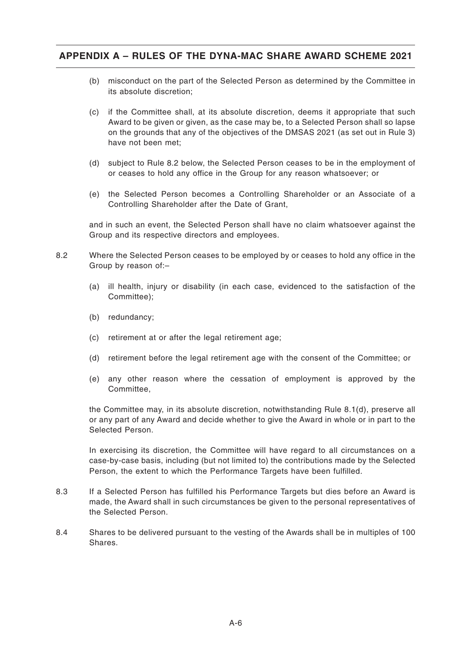- (b) misconduct on the part of the Selected Person as determined by the Committee in its absolute discretion;
- (c) if the Committee shall, at its absolute discretion, deems it appropriate that such Award to be given or given, as the case may be, to a Selected Person shall so lapse on the grounds that any of the objectives of the DMSAS 2021 (as set out in Rule 3) have not been met;
- (d) subject to Rule 8.2 below, the Selected Person ceases to be in the employment of or ceases to hold any office in the Group for any reason whatsoever; or
- (e) the Selected Person becomes a Controlling Shareholder or an Associate of a Controlling Shareholder after the Date of Grant,

and in such an event, the Selected Person shall have no claim whatsoever against the Group and its respective directors and employees.

- 8.2 Where the Selected Person ceases to be employed by or ceases to hold any office in the Group by reason of:–
	- (a) ill health, injury or disability (in each case, evidenced to the satisfaction of the Committee);
	- (b) redundancy;
	- (c) retirement at or after the legal retirement age;
	- (d) retirement before the legal retirement age with the consent of the Committee; or
	- (e) any other reason where the cessation of employment is approved by the Committee,

the Committee may, in its absolute discretion, notwithstanding Rule 8.1(d), preserve all or any part of any Award and decide whether to give the Award in whole or in part to the Selected Person.

In exercising its discretion, the Committee will have regard to all circumstances on a case-by-case basis, including (but not limited to) the contributions made by the Selected Person, the extent to which the Performance Targets have been fulfilled.

- 8.3 If a Selected Person has fulfilled his Performance Targets but dies before an Award is made, the Award shall in such circumstances be given to the personal representatives of the Selected Person.
- 8.4 Shares to be delivered pursuant to the vesting of the Awards shall be in multiples of 100 **Shares**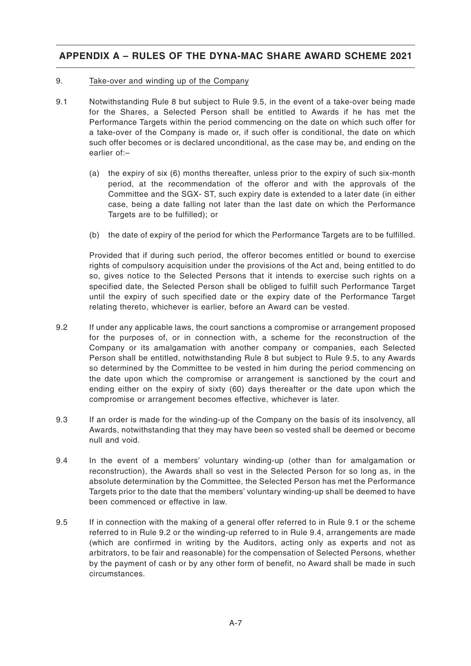### 9. Take-over and winding up of the Company

- 9.1 Notwithstanding Rule 8 but subject to Rule 9.5, in the event of a take-over being made for the Shares, a Selected Person shall be entitled to Awards if he has met the Performance Targets within the period commencing on the date on which such offer for a take-over of the Company is made or, if such offer is conditional, the date on which such offer becomes or is declared unconditional, as the case may be, and ending on the earlier of:–
	- (a) the expiry of six (6) months thereafter, unless prior to the expiry of such six-month period, at the recommendation of the offeror and with the approvals of the Committee and the SGX- ST, such expiry date is extended to a later date (in either case, being a date falling not later than the last date on which the Performance Targets are to be fulfilled); or
	- (b) the date of expiry of the period for which the Performance Targets are to be fulfilled.

Provided that if during such period, the offeror becomes entitled or bound to exercise rights of compulsory acquisition under the provisions of the Act and, being entitled to do so, gives notice to the Selected Persons that it intends to exercise such rights on a specified date, the Selected Person shall be obliged to fulfill such Performance Target until the expiry of such specified date or the expiry date of the Performance Target relating thereto, whichever is earlier, before an Award can be vested.

- 9.2 If under any applicable laws, the court sanctions a compromise or arrangement proposed for the purposes of, or in connection with, a scheme for the reconstruction of the Company or its amalgamation with another company or companies, each Selected Person shall be entitled, notwithstanding Rule 8 but subject to Rule 9.5, to any Awards so determined by the Committee to be vested in him during the period commencing on the date upon which the compromise or arrangement is sanctioned by the court and ending either on the expiry of sixty (60) days thereafter or the date upon which the compromise or arrangement becomes effective, whichever is later.
- 9.3 If an order is made for the winding-up of the Company on the basis of its insolvency, all Awards, notwithstanding that they may have been so vested shall be deemed or become null and void.
- 9.4 In the event of a members' voluntary winding-up (other than for amalgamation or reconstruction), the Awards shall so vest in the Selected Person for so long as, in the absolute determination by the Committee, the Selected Person has met the Performance Targets prior to the date that the members' voluntary winding-up shall be deemed to have been commenced or effective in law.
- 9.5 If in connection with the making of a general offer referred to in Rule 9.1 or the scheme referred to in Rule 9.2 or the winding-up referred to in Rule 9.4, arrangements are made (which are confirmed in writing by the Auditors, acting only as experts and not as arbitrators, to be fair and reasonable) for the compensation of Selected Persons, whether by the payment of cash or by any other form of benefit, no Award shall be made in such circumstances.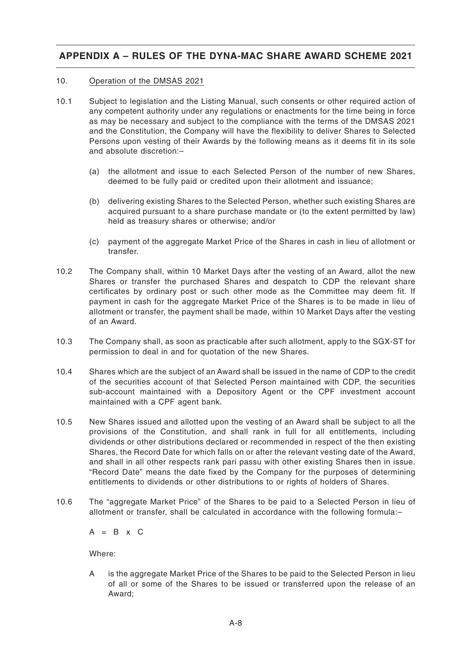### 10. Operation of the DMSAS 2021

- 10.1 Subject to legislation and the Listing Manual, such consents or other required action of any competent authority under any regulations or enactments for the time being in force as may be necessary and subject to the compliance with the terms of the DMSAS 2021 and the Constitution, the Company will have the flexibility to deliver Shares to Selected Persons upon vesting of their Awards by the following means as it deems fit in its sole and absolute discretion:–
	- (a) the allotment and issue to each Selected Person of the number of new Shares, deemed to be fully paid or credited upon their allotment and issuance;
	- (b) delivering existing Shares to the Selected Person, whether such existing Shares are acquired pursuant to a share purchase mandate or (to the extent permitted by law) held as treasury shares or otherwise; and/or
	- (c) payment of the aggregate Market Price of the Shares in cash in lieu of allotment or transfer.
- 10.2 The Company shall, within 10 Market Days after the vesting of an Award, allot the new Shares or transfer the purchased Shares and despatch to CDP the relevant share certificates by ordinary post or such other mode as the Committee may deem fit. If payment in cash for the aggregate Market Price of the Shares is to be made in lieu of allotment or transfer, the payment shall be made, within 10 Market Days after the vesting of an Award.
- 10.3 The Company shall, as soon as practicable after such allotment, apply to the SGX-ST for permission to deal in and for quotation of the new Shares.
- 10.4 Shares which are the subject of an Award shall be issued in the name of CDP to the credit of the securities account of that Selected Person maintained with CDP, the securities sub-account maintained with a Depository Agent or the CPF investment account maintained with a CPF agent bank.
- 10.5 New Shares issued and allotted upon the vesting of an Award shall be subject to all the provisions of the Constitution, and shall rank in full for all entitlements, including dividends or other distributions declared or recommended in respect of the then existing Shares, the Record Date for which falls on or after the relevant vesting date of the Award, and shall in all other respects rank pari passu with other existing Shares then in issue. "Record Date" means the date fixed by the Company for the purposes of determining entitlements to dividends or other distributions to or rights of holders of Shares.
- 10.6 The "aggregate Market Price" of the Shares to be paid to a Selected Person in lieu of allotment or transfer, shall be calculated in accordance with the following formula:–

 $A = B \times C$ 

Where:

A is the aggregate Market Price of the Shares to be paid to the Selected Person in lieu of all or some of the Shares to be issued or transferred upon the release of an Award;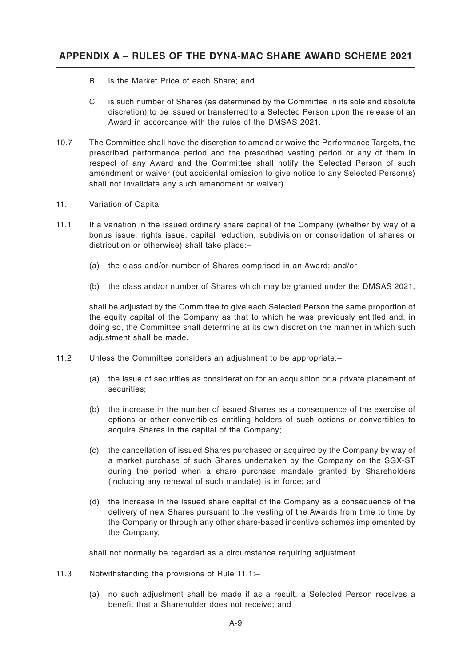- B is the Market Price of each Share; and
- C is such number of Shares (as determined by the Committee in its sole and absolute discretion) to be issued or transferred to a Selected Person upon the release of an Award in accordance with the rules of the DMSAS 2021.
- 10.7 The Committee shall have the discretion to amend or waive the Performance Targets, the prescribed performance period and the prescribed vesting period or any of them in respect of any Award and the Committee shall notify the Selected Person of such amendment or waiver (but accidental omission to give notice to any Selected Person(s) shall not invalidate any such amendment or waiver).

### 11. Variation of Capital

- 11.1 If a variation in the issued ordinary share capital of the Company (whether by way of a bonus issue, rights issue, capital reduction, subdivision or consolidation of shares or distribution or otherwise) shall take place:–
	- (a) the class and/or number of Shares comprised in an Award; and/or
	- (b) the class and/or number of Shares which may be granted under the DMSAS 2021,

shall be adjusted by the Committee to give each Selected Person the same proportion of the equity capital of the Company as that to which he was previously entitled and, in doing so, the Committee shall determine at its own discretion the manner in which such adjustment shall be made.

- 11.2 Unless the Committee considers an adjustment to be appropriate:–
	- (a) the issue of securities as consideration for an acquisition or a private placement of securities;
	- (b) the increase in the number of issued Shares as a consequence of the exercise of options or other convertibles entitling holders of such options or convertibles to acquire Shares in the capital of the Company;
	- (c) the cancellation of issued Shares purchased or acquired by the Company by way of a market purchase of such Shares undertaken by the Company on the SGX-ST during the period when a share purchase mandate granted by Shareholders (including any renewal of such mandate) is in force; and
	- (d) the increase in the issued share capital of the Company as a consequence of the delivery of new Shares pursuant to the vesting of the Awards from time to time by the Company or through any other share-based incentive schemes implemented by the Company,

shall not normally be regarded as a circumstance requiring adjustment.

- 11.3 Notwithstanding the provisions of Rule 11.1:–
	- (a) no such adjustment shall be made if as a result, a Selected Person receives a benefit that a Shareholder does not receive; and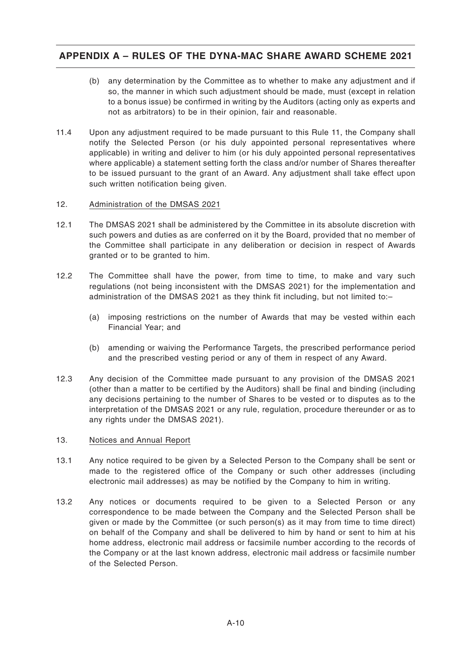- (b) any determination by the Committee as to whether to make any adjustment and if so, the manner in which such adjustment should be made, must (except in relation to a bonus issue) be confirmed in writing by the Auditors (acting only as experts and not as arbitrators) to be in their opinion, fair and reasonable.
- 11.4 Upon any adjustment required to be made pursuant to this Rule 11, the Company shall notify the Selected Person (or his duly appointed personal representatives where applicable) in writing and deliver to him (or his duly appointed personal representatives where applicable) a statement setting forth the class and/or number of Shares thereafter to be issued pursuant to the grant of an Award. Any adjustment shall take effect upon such written notification being given.

### 12. Administration of the DMSAS 2021

- 12.1 The DMSAS 2021 shall be administered by the Committee in its absolute discretion with such powers and duties as are conferred on it by the Board, provided that no member of the Committee shall participate in any deliberation or decision in respect of Awards granted or to be granted to him.
- 12.2 The Committee shall have the power, from time to time, to make and vary such regulations (not being inconsistent with the DMSAS 2021) for the implementation and administration of the DMSAS 2021 as they think fit including, but not limited to:–
	- (a) imposing restrictions on the number of Awards that may be vested within each Financial Year; and
	- (b) amending or waiving the Performance Targets, the prescribed performance period and the prescribed vesting period or any of them in respect of any Award.
- 12.3 Any decision of the Committee made pursuant to any provision of the DMSAS 2021 (other than a matter to be certified by the Auditors) shall be final and binding (including any decisions pertaining to the number of Shares to be vested or to disputes as to the interpretation of the DMSAS 2021 or any rule, regulation, procedure thereunder or as to any rights under the DMSAS 2021).

### 13. Notices and Annual Report

- 13.1 Any notice required to be given by a Selected Person to the Company shall be sent or made to the registered office of the Company or such other addresses (including electronic mail addresses) as may be notified by the Company to him in writing.
- 13.2 Any notices or documents required to be given to a Selected Person or any correspondence to be made between the Company and the Selected Person shall be given or made by the Committee (or such person(s) as it may from time to time direct) on behalf of the Company and shall be delivered to him by hand or sent to him at his home address, electronic mail address or facsimile number according to the records of the Company or at the last known address, electronic mail address or facsimile number of the Selected Person.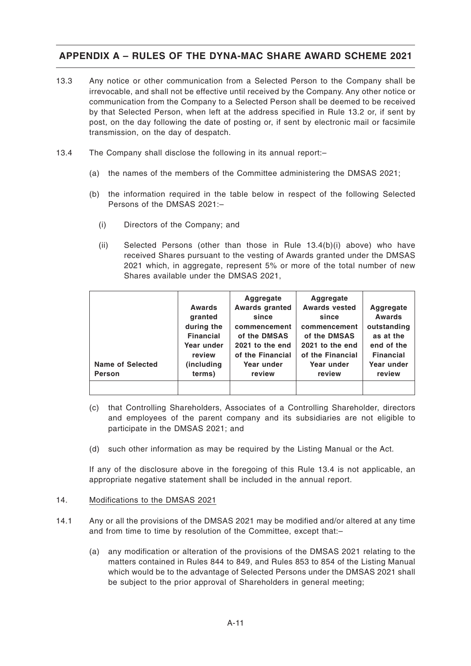- 13.3 Any notice or other communication from a Selected Person to the Company shall be irrevocable, and shall not be effective until received by the Company. Any other notice or communication from the Company to a Selected Person shall be deemed to be received by that Selected Person, when left at the address specified in Rule 13.2 or, if sent by post, on the day following the date of posting or, if sent by electronic mail or facsimile transmission, on the day of despatch.
- 13.4 The Company shall disclose the following in its annual report:–
	- (a) the names of the members of the Committee administering the DMSAS 2021;
	- (b) the information required in the table below in respect of the following Selected Persons of the DMSAS 2021:–
		- (i) Directors of the Company; and
		- (ii) Selected Persons (other than those in Rule 13.4(b)(i) above) who have received Shares pursuant to the vesting of Awards granted under the DMSAS 2021 which, in aggregate, represent 5% or more of the total number of new Shares available under the DMSAS 2021,

| <b>Name of Selected</b><br>Person | Awards<br>granted<br>during the<br><b>Financial</b><br>Year under<br>review<br>(including)<br>terms) | Aggregate<br><b>Awards granted</b><br>since<br>commencement<br>of the DMSAS<br>2021 to the end<br>of the Financial<br>Year under<br>review | Aggregate<br><b>Awards vested</b><br>since<br>commencement<br>of the DMSAS<br>2021 to the end<br>of the Financial<br>Year under<br>review | Aggregate<br>Awards<br>outstanding<br>as at the<br>end of the<br><b>Financial</b><br>Year under<br>review |
|-----------------------------------|------------------------------------------------------------------------------------------------------|--------------------------------------------------------------------------------------------------------------------------------------------|-------------------------------------------------------------------------------------------------------------------------------------------|-----------------------------------------------------------------------------------------------------------|
|                                   |                                                                                                      |                                                                                                                                            |                                                                                                                                           |                                                                                                           |

- (c) that Controlling Shareholders, Associates of a Controlling Shareholder, directors and employees of the parent company and its subsidiaries are not eligible to participate in the DMSAS 2021; and
- (d) such other information as may be required by the Listing Manual or the Act.

If any of the disclosure above in the foregoing of this Rule 13.4 is not applicable, an appropriate negative statement shall be included in the annual report.

### 14. Modifications to the DMSAS 2021

- 14.1 Any or all the provisions of the DMSAS 2021 may be modified and/or altered at any time and from time to time by resolution of the Committee, except that:–
	- (a) any modification or alteration of the provisions of the DMSAS 2021 relating to the matters contained in Rules 844 to 849, and Rules 853 to 854 of the Listing Manual which would be to the advantage of Selected Persons under the DMSAS 2021 shall be subject to the prior approval of Shareholders in general meeting;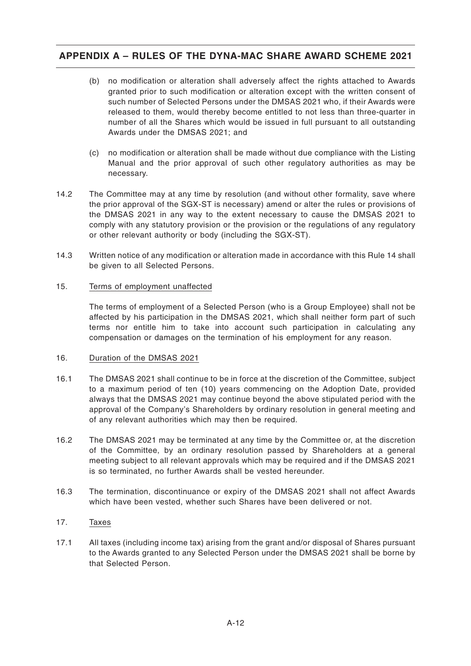- (b) no modification or alteration shall adversely affect the rights attached to Awards granted prior to such modification or alteration except with the written consent of such number of Selected Persons under the DMSAS 2021 who, if their Awards were released to them, would thereby become entitled to not less than three-quarter in number of all the Shares which would be issued in full pursuant to all outstanding Awards under the DMSAS 2021; and
- (c) no modification or alteration shall be made without due compliance with the Listing Manual and the prior approval of such other regulatory authorities as may be necessary.
- 14.2 The Committee may at any time by resolution (and without other formality, save where the prior approval of the SGX-ST is necessary) amend or alter the rules or provisions of the DMSAS 2021 in any way to the extent necessary to cause the DMSAS 2021 to comply with any statutory provision or the provision or the regulations of any regulatory or other relevant authority or body (including the SGX-ST).
- 14.3 Written notice of any modification or alteration made in accordance with this Rule 14 shall be given to all Selected Persons.

### 15. Terms of employment unaffected

The terms of employment of a Selected Person (who is a Group Employee) shall not be affected by his participation in the DMSAS 2021, which shall neither form part of such terms nor entitle him to take into account such participation in calculating any compensation or damages on the termination of his employment for any reason.

### 16. Duration of the DMSAS 2021

- 16.1 The DMSAS 2021 shall continue to be in force at the discretion of the Committee, subject to a maximum period of ten (10) years commencing on the Adoption Date, provided always that the DMSAS 2021 may continue beyond the above stipulated period with the approval of the Company's Shareholders by ordinary resolution in general meeting and of any relevant authorities which may then be required.
- 16.2 The DMSAS 2021 may be terminated at any time by the Committee or, at the discretion of the Committee, by an ordinary resolution passed by Shareholders at a general meeting subject to all relevant approvals which may be required and if the DMSAS 2021 is so terminated, no further Awards shall be vested hereunder.
- 16.3 The termination, discontinuance or expiry of the DMSAS 2021 shall not affect Awards which have been vested, whether such Shares have been delivered or not.

### 17. Taxes

17.1 All taxes (including income tax) arising from the grant and/or disposal of Shares pursuant to the Awards granted to any Selected Person under the DMSAS 2021 shall be borne by that Selected Person.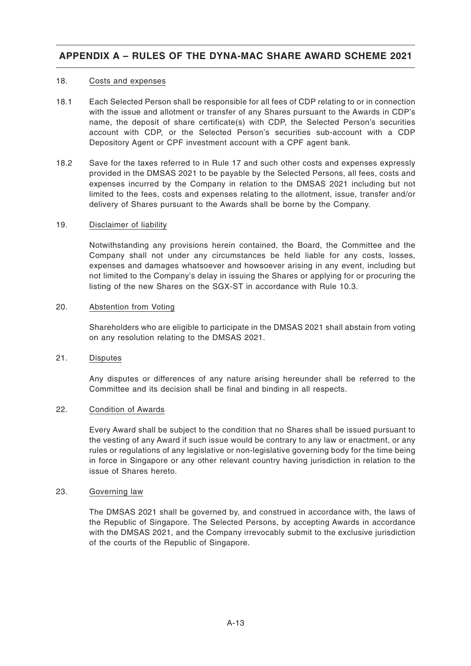### 18. Costs and expenses

- 18.1 Each Selected Person shall be responsible for all fees of CDP relating to or in connection with the issue and allotment or transfer of any Shares pursuant to the Awards in CDP's name, the deposit of share certificate(s) with CDP, the Selected Person's securities account with CDP, or the Selected Person's securities sub-account with a CDP Depository Agent or CPF investment account with a CPF agent bank.
- 18.2 Save for the taxes referred to in Rule 17 and such other costs and expenses expressly provided in the DMSAS 2021 to be payable by the Selected Persons, all fees, costs and expenses incurred by the Company in relation to the DMSAS 2021 including but not limited to the fees, costs and expenses relating to the allotment, issue, transfer and/or delivery of Shares pursuant to the Awards shall be borne by the Company.

#### 19. Disclaimer of liability

Notwithstanding any provisions herein contained, the Board, the Committee and the Company shall not under any circumstances be held liable for any costs, losses, expenses and damages whatsoever and howsoever arising in any event, including but not limited to the Company's delay in issuing the Shares or applying for or procuring the listing of the new Shares on the SGX-ST in accordance with Rule 10.3.

### 20. Abstention from Voting

Shareholders who are eligible to participate in the DMSAS 2021 shall abstain from voting on any resolution relating to the DMSAS 2021.

### 21. Disputes

Any disputes or differences of any nature arising hereunder shall be referred to the Committee and its decision shall be final and binding in all respects.

### 22. Condition of Awards

Every Award shall be subject to the condition that no Shares shall be issued pursuant to the vesting of any Award if such issue would be contrary to any law or enactment, or any rules or regulations of any legislative or non-legislative governing body for the time being in force in Singapore or any other relevant country having jurisdiction in relation to the issue of Shares hereto.

#### 23. Governing law

The DMSAS 2021 shall be governed by, and construed in accordance with, the laws of the Republic of Singapore. The Selected Persons, by accepting Awards in accordance with the DMSAS 2021, and the Company irrevocably submit to the exclusive jurisdiction of the courts of the Republic of Singapore.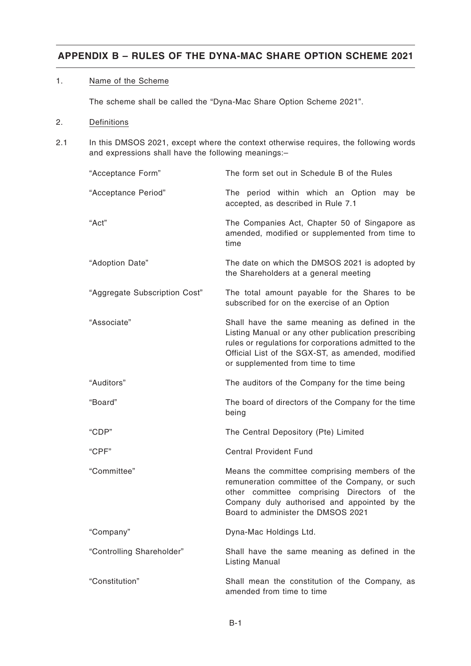### 1. Name of the Scheme

The scheme shall be called the "Dyna-Mac Share Option Scheme 2021".

### 2. Definitions

2.1 In this DMSOS 2021, except where the context otherwise requires, the following words and expressions shall have the following meanings:–

| "Acceptance Form"             | The form set out in Schedule B of the Rules                                                                                                                                                                                                             |  |  |
|-------------------------------|---------------------------------------------------------------------------------------------------------------------------------------------------------------------------------------------------------------------------------------------------------|--|--|
| "Acceptance Period"           | The period within which an Option may<br>be<br>accepted, as described in Rule 7.1                                                                                                                                                                       |  |  |
| "Act"                         | The Companies Act, Chapter 50 of Singapore as<br>amended, modified or supplemented from time to<br>time                                                                                                                                                 |  |  |
| "Adoption Date"               | The date on which the DMSOS 2021 is adopted by<br>the Shareholders at a general meeting                                                                                                                                                                 |  |  |
| "Aggregate Subscription Cost" | The total amount payable for the Shares to be<br>subscribed for on the exercise of an Option                                                                                                                                                            |  |  |
| "Associate"                   | Shall have the same meaning as defined in the<br>Listing Manual or any other publication prescribing<br>rules or regulations for corporations admitted to the<br>Official List of the SGX-ST, as amended, modified<br>or supplemented from time to time |  |  |
| "Auditors"                    | The auditors of the Company for the time being                                                                                                                                                                                                          |  |  |
| "Board"                       | The board of directors of the Company for the time<br>being                                                                                                                                                                                             |  |  |
| "CDP"                         | The Central Depository (Pte) Limited                                                                                                                                                                                                                    |  |  |
| "CPF"                         | <b>Central Provident Fund</b>                                                                                                                                                                                                                           |  |  |
| "Committee"                   | Means the committee comprising members of the<br>remuneration committee of the Company, or such<br>other committee comprising Directors of the<br>Company duly authorised and appointed by the<br>Board to administer the DMSOS 2021                    |  |  |
| "Company"                     | Dyna-Mac Holdings Ltd.                                                                                                                                                                                                                                  |  |  |
| "Controlling Shareholder"     | Shall have the same meaning as defined in the<br><b>Listing Manual</b>                                                                                                                                                                                  |  |  |
| "Constitution"                | Shall mean the constitution of the Company, as<br>amended from time to time                                                                                                                                                                             |  |  |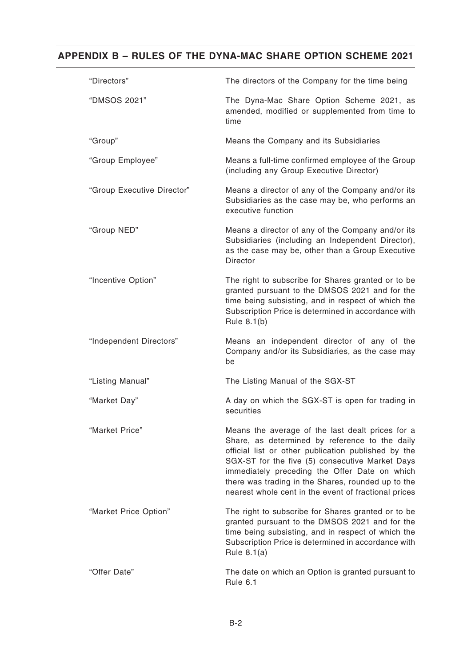| "Directors"                | The directors of the Company for the time being                                                                                                                                                                                                                                                                                                                             |
|----------------------------|-----------------------------------------------------------------------------------------------------------------------------------------------------------------------------------------------------------------------------------------------------------------------------------------------------------------------------------------------------------------------------|
| "DMSOS 2021"               | The Dyna-Mac Share Option Scheme 2021, as<br>amended, modified or supplemented from time to<br>time                                                                                                                                                                                                                                                                         |
| "Group"                    | Means the Company and its Subsidiaries                                                                                                                                                                                                                                                                                                                                      |
| "Group Employee"           | Means a full-time confirmed employee of the Group<br>(including any Group Executive Director)                                                                                                                                                                                                                                                                               |
| "Group Executive Director" | Means a director of any of the Company and/or its<br>Subsidiaries as the case may be, who performs an<br>executive function                                                                                                                                                                                                                                                 |
| "Group NED"                | Means a director of any of the Company and/or its<br>Subsidiaries (including an Independent Director),<br>as the case may be, other than a Group Executive<br><b>Director</b>                                                                                                                                                                                               |
| "Incentive Option"         | The right to subscribe for Shares granted or to be<br>granted pursuant to the DMSOS 2021 and for the<br>time being subsisting, and in respect of which the<br>Subscription Price is determined in accordance with<br>Rule 8.1(b)                                                                                                                                            |
| "Independent Directors"    | Means an independent director of any of the<br>Company and/or its Subsidiaries, as the case may<br>be                                                                                                                                                                                                                                                                       |
| "Listing Manual"           | The Listing Manual of the SGX-ST                                                                                                                                                                                                                                                                                                                                            |
| "Market Day"               | A day on which the SGX-ST is open for trading in<br>securities                                                                                                                                                                                                                                                                                                              |
| "Market Price"             | Means the average of the last dealt prices for a<br>Share, as determined by reference to the daily<br>official list or other publication published by the<br>SGX-ST for the five (5) consecutive Market Days<br>immediately preceding the Offer Date on which<br>there was trading in the Shares, rounded up to the<br>nearest whole cent in the event of fractional prices |
| "Market Price Option"      | The right to subscribe for Shares granted or to be<br>granted pursuant to the DMSOS 2021 and for the<br>time being subsisting, and in respect of which the<br>Subscription Price is determined in accordance with<br>Rule $8.1(a)$                                                                                                                                          |
| "Offer Date"               | The date on which an Option is granted pursuant to<br>Rule 6.1                                                                                                                                                                                                                                                                                                              |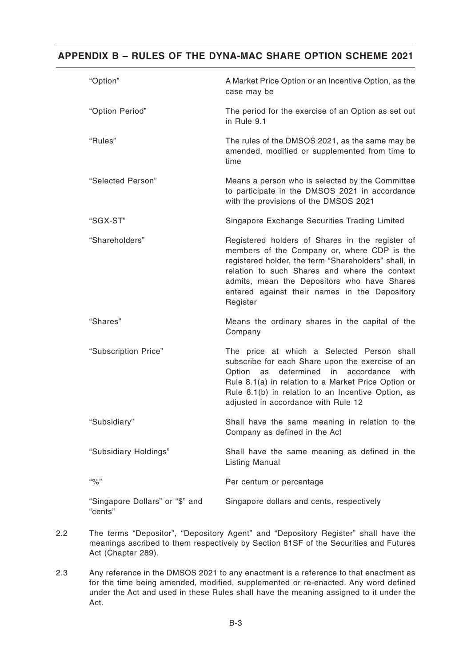| "Option"                                   | A Market Price Option or an Incentive Option, as the<br>case may be                                                                                                                                                                                                                                                 |
|--------------------------------------------|---------------------------------------------------------------------------------------------------------------------------------------------------------------------------------------------------------------------------------------------------------------------------------------------------------------------|
| "Option Period"                            | The period for the exercise of an Option as set out<br>in Rule 9.1                                                                                                                                                                                                                                                  |
| "Rules"                                    | The rules of the DMSOS 2021, as the same may be<br>amended, modified or supplemented from time to<br>time                                                                                                                                                                                                           |
| "Selected Person"                          | Means a person who is selected by the Committee<br>to participate in the DMSOS 2021 in accordance<br>with the provisions of the DMSOS 2021                                                                                                                                                                          |
| "SGX-ST"                                   | Singapore Exchange Securities Trading Limited                                                                                                                                                                                                                                                                       |
| "Shareholders"                             | Registered holders of Shares in the register of<br>members of the Company or, where CDP is the<br>registered holder, the term "Shareholders" shall, in<br>relation to such Shares and where the context<br>admits, mean the Depositors who have Shares<br>entered against their names in the Depository<br>Register |
| "Shares"                                   | Means the ordinary shares in the capital of the<br>Company                                                                                                                                                                                                                                                          |
| "Subscription Price"                       | The price at which a Selected Person shall<br>subscribe for each Share upon the exercise of an<br>determined in<br>Option<br>accordance<br>with<br>as<br>Rule 8.1(a) in relation to a Market Price Option or<br>Rule 8.1(b) in relation to an Incentive Option, as<br>adjusted in accordance with Rule 12           |
| "Subsidiary"                               | Shall have the same meaning in relation to the<br>Company as defined in the Act                                                                                                                                                                                                                                     |
| "Subsidiary Holdings"                      | Shall have the same meaning as defined in the<br><b>Listing Manual</b>                                                                                                                                                                                                                                              |
| $``\%"$                                    | Per centum or percentage                                                                                                                                                                                                                                                                                            |
| "Singapore Dollars" or "\$" and<br>"cents" | Singapore dollars and cents, respectively                                                                                                                                                                                                                                                                           |

- 2.2 The terms "Depositor", "Depository Agent" and "Depository Register" shall have the meanings ascribed to them respectively by Section 81SF of the Securities and Futures Act (Chapter 289).
- 2.3 Any reference in the DMSOS 2021 to any enactment is a reference to that enactment as for the time being amended, modified, supplemented or re-enacted. Any word defined under the Act and used in these Rules shall have the meaning assigned to it under the Act.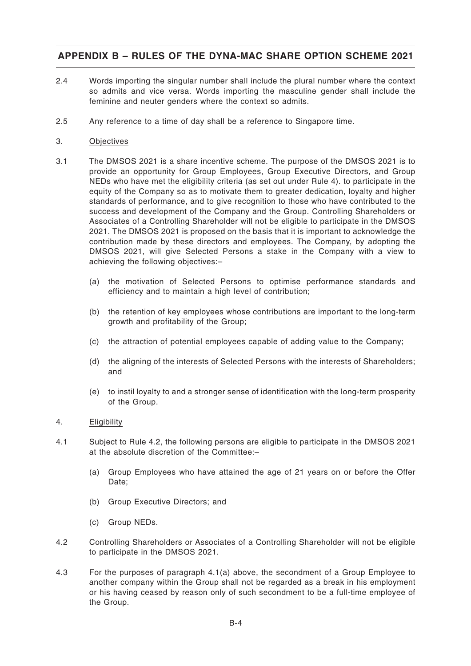- 2.4 Words importing the singular number shall include the plural number where the context so admits and vice versa. Words importing the masculine gender shall include the feminine and neuter genders where the context so admits.
- 2.5 Any reference to a time of day shall be a reference to Singapore time.

#### 3. Objectives

- 3.1 The DMSOS 2021 is a share incentive scheme. The purpose of the DMSOS 2021 is to provide an opportunity for Group Employees, Group Executive Directors, and Group NEDs who have met the eligibility criteria (as set out under Rule 4). to participate in the equity of the Company so as to motivate them to greater dedication, loyalty and higher standards of performance, and to give recognition to those who have contributed to the success and development of the Company and the Group. Controlling Shareholders or Associates of a Controlling Shareholder will not be eligible to participate in the DMSOS 2021. The DMSOS 2021 is proposed on the basis that it is important to acknowledge the contribution made by these directors and employees. The Company, by adopting the DMSOS 2021, will give Selected Persons a stake in the Company with a view to achieving the following objectives:–
	- (a) the motivation of Selected Persons to optimise performance standards and efficiency and to maintain a high level of contribution;
	- (b) the retention of key employees whose contributions are important to the long-term growth and profitability of the Group;
	- (c) the attraction of potential employees capable of adding value to the Company;
	- (d) the aligning of the interests of Selected Persons with the interests of Shareholders; and
	- (e) to instil loyalty to and a stronger sense of identification with the long-term prosperity of the Group.

### 4. Eligibility

- 4.1 Subject to Rule 4.2, the following persons are eligible to participate in the DMSOS 2021 at the absolute discretion of the Committee:–
	- (a) Group Employees who have attained the age of 21 years on or before the Offer Date:
	- (b) Group Executive Directors; and
	- (c) Group NEDs.
- 4.2 Controlling Shareholders or Associates of a Controlling Shareholder will not be eligible to participate in the DMSOS 2021.
- 4.3 For the purposes of paragraph 4.1(a) above, the secondment of a Group Employee to another company within the Group shall not be regarded as a break in his employment or his having ceased by reason only of such secondment to be a full-time employee of the Group.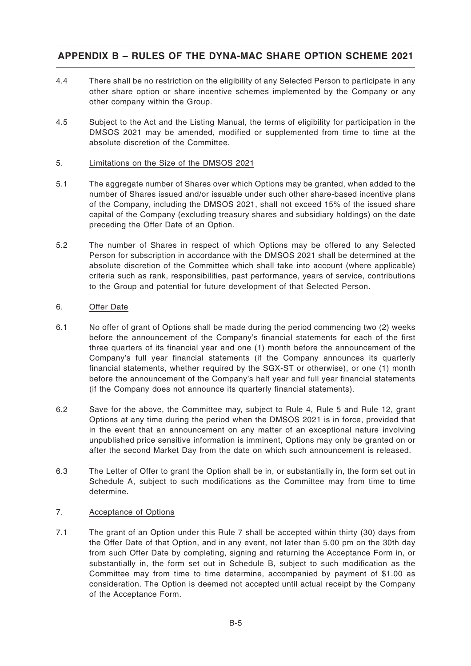- 4.4 There shall be no restriction on the eligibility of any Selected Person to participate in any other share option or share incentive schemes implemented by the Company or any other company within the Group.
- 4.5 Subject to the Act and the Listing Manual, the terms of eligibility for participation in the DMSOS 2021 may be amended, modified or supplemented from time to time at the absolute discretion of the Committee.

### 5. Limitations on the Size of the DMSOS 2021

- 5.1 The aggregate number of Shares over which Options may be granted, when added to the number of Shares issued and/or issuable under such other share-based incentive plans of the Company, including the DMSOS 2021, shall not exceed 15% of the issued share capital of the Company (excluding treasury shares and subsidiary holdings) on the date preceding the Offer Date of an Option.
- 5.2 The number of Shares in respect of which Options may be offered to any Selected Person for subscription in accordance with the DMSOS 2021 shall be determined at the absolute discretion of the Committee which shall take into account (where applicable) criteria such as rank, responsibilities, past performance, years of service, contributions to the Group and potential for future development of that Selected Person.

### 6. Offer Date

- 6.1 No offer of grant of Options shall be made during the period commencing two (2) weeks before the announcement of the Company's financial statements for each of the first three quarters of its financial year and one (1) month before the announcement of the Company's full year financial statements (if the Company announces its quarterly financial statements, whether required by the SGX-ST or otherwise), or one (1) month before the announcement of the Company's half year and full year financial statements (if the Company does not announce its quarterly financial statements).
- 6.2 Save for the above, the Committee may, subject to Rule 4, Rule 5 and Rule 12, grant Options at any time during the period when the DMSOS 2021 is in force, provided that in the event that an announcement on any matter of an exceptional nature involving unpublished price sensitive information is imminent, Options may only be granted on or after the second Market Day from the date on which such announcement is released.
- 6.3 The Letter of Offer to grant the Option shall be in, or substantially in, the form set out in Schedule A, subject to such modifications as the Committee may from time to time determine.

### 7. Acceptance of Options

7.1 The grant of an Option under this Rule 7 shall be accepted within thirty (30) days from the Offer Date of that Option, and in any event, not later than 5.00 pm on the 30th day from such Offer Date by completing, signing and returning the Acceptance Form in, or substantially in, the form set out in Schedule B, subject to such modification as the Committee may from time to time determine, accompanied by payment of \$1.00 as consideration. The Option is deemed not accepted until actual receipt by the Company of the Acceptance Form.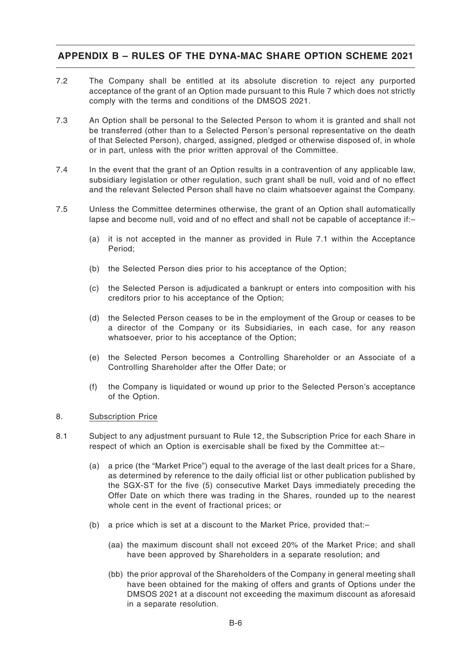- 7.2 The Company shall be entitled at its absolute discretion to reject any purported acceptance of the grant of an Option made pursuant to this Rule 7 which does not strictly comply with the terms and conditions of the DMSOS 2021.
- 7.3 An Option shall be personal to the Selected Person to whom it is granted and shall not be transferred (other than to a Selected Person's personal representative on the death of that Selected Person), charged, assigned, pledged or otherwise disposed of, in whole or in part, unless with the prior written approval of the Committee.
- 7.4 In the event that the grant of an Option results in a contravention of any applicable law, subsidiary legislation or other regulation, such grant shall be null, void and of no effect and the relevant Selected Person shall have no claim whatsoever against the Company.
- 7.5 Unless the Committee determines otherwise, the grant of an Option shall automatically lapse and become null, void and of no effect and shall not be capable of acceptance if:–
	- (a) it is not accepted in the manner as provided in Rule 7.1 within the Acceptance Period;
	- (b) the Selected Person dies prior to his acceptance of the Option;
	- (c) the Selected Person is adjudicated a bankrupt or enters into composition with his creditors prior to his acceptance of the Option;
	- (d) the Selected Person ceases to be in the employment of the Group or ceases to be a director of the Company or its Subsidiaries, in each case, for any reason whatsoever, prior to his acceptance of the Option;
	- (e) the Selected Person becomes a Controlling Shareholder or an Associate of a Controlling Shareholder after the Offer Date; or
	- (f) the Company is liquidated or wound up prior to the Selected Person's acceptance of the Option.

#### 8. Subscription Price

- 8.1 Subject to any adjustment pursuant to Rule 12, the Subscription Price for each Share in respect of which an Option is exercisable shall be fixed by the Committee at:–
	- (a) a price (the "Market Price") equal to the average of the last dealt prices for a Share, as determined by reference to the daily official list or other publication published by the SGX-ST for the five (5) consecutive Market Days immediately preceding the Offer Date on which there was trading in the Shares, rounded up to the nearest whole cent in the event of fractional prices; or
	- (b) a price which is set at a discount to the Market Price, provided that:–
		- (aa) the maximum discount shall not exceed 20% of the Market Price; and shall have been approved by Shareholders in a separate resolution; and
		- (bb) the prior approval of the Shareholders of the Company in general meeting shall have been obtained for the making of offers and grants of Options under the DMSOS 2021 at a discount not exceeding the maximum discount as aforesaid in a separate resolution.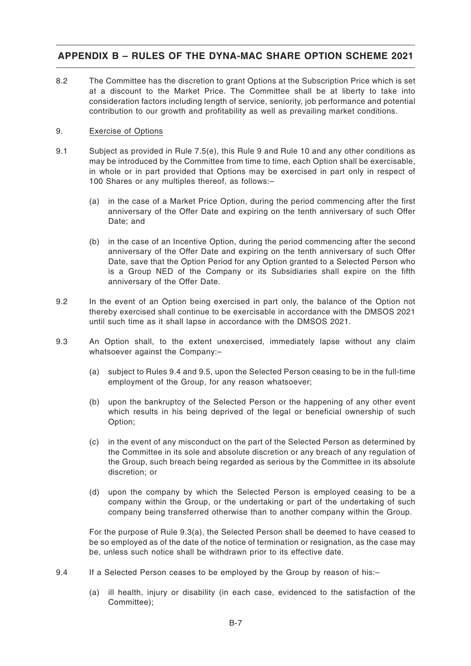8.2 The Committee has the discretion to grant Options at the Subscription Price which is set at a discount to the Market Price. The Committee shall be at liberty to take into consideration factors including length of service, seniority, job performance and potential contribution to our growth and profitability as well as prevailing market conditions.

### 9. Exercise of Options

- 9.1 Subject as provided in Rule 7.5(e), this Rule 9 and Rule 10 and any other conditions as may be introduced by the Committee from time to time, each Option shall be exercisable, in whole or in part provided that Options may be exercised in part only in respect of 100 Shares or any multiples thereof, as follows:–
	- (a) in the case of a Market Price Option, during the period commencing after the first anniversary of the Offer Date and expiring on the tenth anniversary of such Offer Date; and
	- (b) in the case of an Incentive Option, during the period commencing after the second anniversary of the Offer Date and expiring on the tenth anniversary of such Offer Date, save that the Option Period for any Option granted to a Selected Person who is a Group NED of the Company or its Subsidiaries shall expire on the fifth anniversary of the Offer Date.
- 9.2 In the event of an Option being exercised in part only, the balance of the Option not thereby exercised shall continue to be exercisable in accordance with the DMSOS 2021 until such time as it shall lapse in accordance with the DMSOS 2021.
- 9.3 An Option shall, to the extent unexercised, immediately lapse without any claim whatsoever against the Company:–
	- (a) subject to Rules 9.4 and 9.5, upon the Selected Person ceasing to be in the full-time employment of the Group, for any reason whatsoever;
	- (b) upon the bankruptcy of the Selected Person or the happening of any other event which results in his being deprived of the legal or beneficial ownership of such Option;
	- (c) in the event of any misconduct on the part of the Selected Person as determined by the Committee in its sole and absolute discretion or any breach of any regulation of the Group, such breach being regarded as serious by the Committee in its absolute discretion; or
	- (d) upon the company by which the Selected Person is employed ceasing to be a company within the Group, or the undertaking or part of the undertaking of such company being transferred otherwise than to another company within the Group.

For the purpose of Rule 9.3(a), the Selected Person shall be deemed to have ceased to be so employed as of the date of the notice of termination or resignation, as the case may be, unless such notice shall be withdrawn prior to its effective date.

- 9.4 If a Selected Person ceases to be employed by the Group by reason of his:–
	- (a) ill health, injury or disability (in each case, evidenced to the satisfaction of the Committee);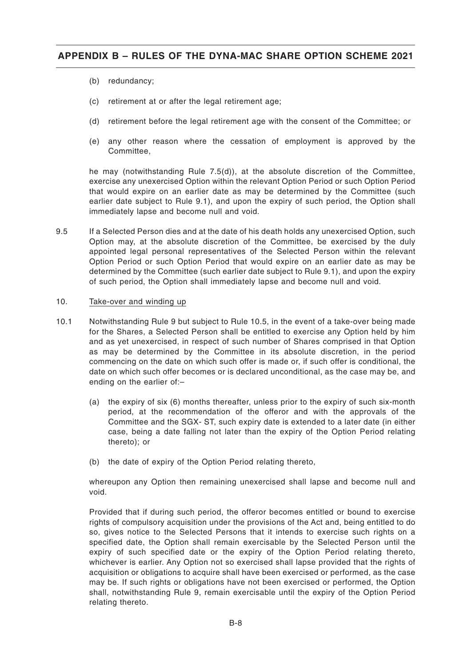- (b) redundancy;
- (c) retirement at or after the legal retirement age;
- (d) retirement before the legal retirement age with the consent of the Committee; or
- (e) any other reason where the cessation of employment is approved by the Committee,

he may (notwithstanding Rule 7.5(d)), at the absolute discretion of the Committee, exercise any unexercised Option within the relevant Option Period or such Option Period that would expire on an earlier date as may be determined by the Committee (such earlier date subject to Rule 9.1), and upon the expiry of such period, the Option shall immediately lapse and become null and void.

9.5 If a Selected Person dies and at the date of his death holds any unexercised Option, such Option may, at the absolute discretion of the Committee, be exercised by the duly appointed legal personal representatives of the Selected Person within the relevant Option Period or such Option Period that would expire on an earlier date as may be determined by the Committee (such earlier date subject to Rule 9.1), and upon the expiry of such period, the Option shall immediately lapse and become null and void.

#### 10. Take-over and winding up

- 10.1 Notwithstanding Rule 9 but subject to Rule 10.5, in the event of a take-over being made for the Shares, a Selected Person shall be entitled to exercise any Option held by him and as yet unexercised, in respect of such number of Shares comprised in that Option as may be determined by the Committee in its absolute discretion, in the period commencing on the date on which such offer is made or, if such offer is conditional, the date on which such offer becomes or is declared unconditional, as the case may be, and ending on the earlier of:–
	- (a) the expiry of six (6) months thereafter, unless prior to the expiry of such six-month period, at the recommendation of the offeror and with the approvals of the Committee and the SGX- ST, such expiry date is extended to a later date (in either case, being a date falling not later than the expiry of the Option Period relating thereto); or
	- (b) the date of expiry of the Option Period relating thereto,

whereupon any Option then remaining unexercised shall lapse and become null and void.

Provided that if during such period, the offeror becomes entitled or bound to exercise rights of compulsory acquisition under the provisions of the Act and, being entitled to do so, gives notice to the Selected Persons that it intends to exercise such rights on a specified date, the Option shall remain exercisable by the Selected Person until the expiry of such specified date or the expiry of the Option Period relating thereto, whichever is earlier. Any Option not so exercised shall lapse provided that the rights of acquisition or obligations to acquire shall have been exercised or performed, as the case may be. If such rights or obligations have not been exercised or performed, the Option shall, notwithstanding Rule 9, remain exercisable until the expiry of the Option Period relating thereto.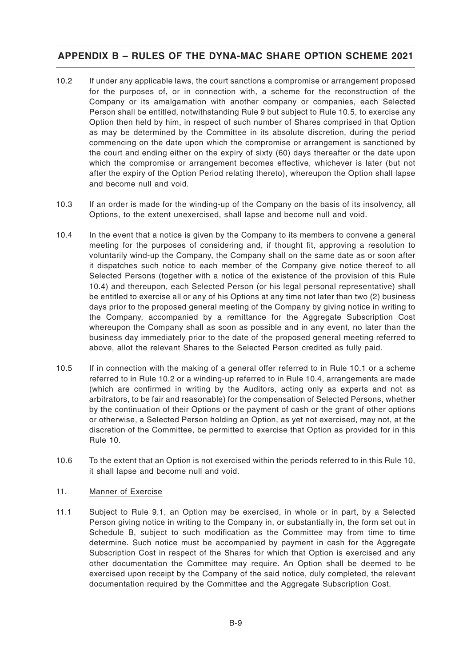- 10.2 If under any applicable laws, the court sanctions a compromise or arrangement proposed for the purposes of, or in connection with, a scheme for the reconstruction of the Company or its amalgamation with another company or companies, each Selected Person shall be entitled, notwithstanding Rule 9 but subject to Rule 10.5, to exercise any Option then held by him, in respect of such number of Shares comprised in that Option as may be determined by the Committee in its absolute discretion, during the period commencing on the date upon which the compromise or arrangement is sanctioned by the court and ending either on the expiry of sixty (60) days thereafter or the date upon which the compromise or arrangement becomes effective, whichever is later (but not after the expiry of the Option Period relating thereto), whereupon the Option shall lapse and become null and void.
- 10.3 If an order is made for the winding-up of the Company on the basis of its insolvency, all Options, to the extent unexercised, shall lapse and become null and void.
- 10.4 In the event that a notice is given by the Company to its members to convene a general meeting for the purposes of considering and, if thought fit, approving a resolution to voluntarily wind-up the Company, the Company shall on the same date as or soon after it dispatches such notice to each member of the Company give notice thereof to all Selected Persons (together with a notice of the existence of the provision of this Rule 10.4) and thereupon, each Selected Person (or his legal personal representative) shall be entitled to exercise all or any of his Options at any time not later than two (2) business days prior to the proposed general meeting of the Company by giving notice in writing to the Company, accompanied by a remittance for the Aggregate Subscription Cost whereupon the Company shall as soon as possible and in any event, no later than the business day immediately prior to the date of the proposed general meeting referred to above, allot the relevant Shares to the Selected Person credited as fully paid.
- 10.5 If in connection with the making of a general offer referred to in Rule 10.1 or a scheme referred to in Rule 10.2 or a winding-up referred to in Rule 10.4, arrangements are made (which are confirmed in writing by the Auditors, acting only as experts and not as arbitrators, to be fair and reasonable) for the compensation of Selected Persons, whether by the continuation of their Options or the payment of cash or the grant of other options or otherwise, a Selected Person holding an Option, as yet not exercised, may not, at the discretion of the Committee, be permitted to exercise that Option as provided for in this Rule 10.
- 10.6 To the extent that an Option is not exercised within the periods referred to in this Rule 10, it shall lapse and become null and void.

### 11. Manner of Exercise

11.1 Subject to Rule 9.1, an Option may be exercised, in whole or in part, by a Selected Person giving notice in writing to the Company in, or substantially in, the form set out in Schedule B, subject to such modification as the Committee may from time to time determine. Such notice must be accompanied by payment in cash for the Aggregate Subscription Cost in respect of the Shares for which that Option is exercised and any other documentation the Committee may require. An Option shall be deemed to be exercised upon receipt by the Company of the said notice, duly completed, the relevant documentation required by the Committee and the Aggregate Subscription Cost.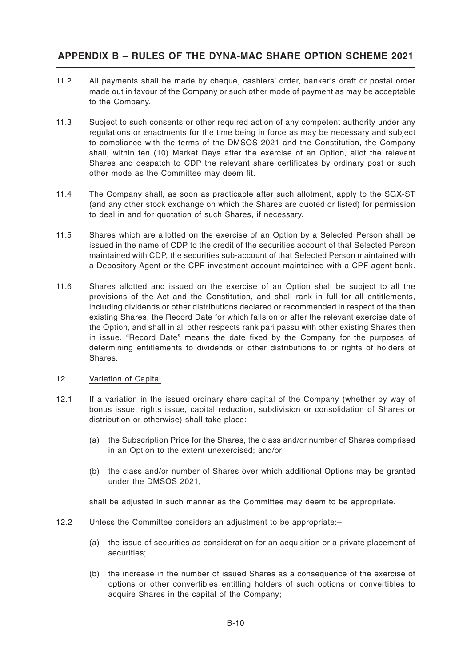- 11.2 All payments shall be made by cheque, cashiers' order, banker's draft or postal order made out in favour of the Company or such other mode of payment as may be acceptable to the Company.
- 11.3 Subject to such consents or other required action of any competent authority under any regulations or enactments for the time being in force as may be necessary and subject to compliance with the terms of the DMSOS 2021 and the Constitution, the Company shall, within ten (10) Market Days after the exercise of an Option, allot the relevant Shares and despatch to CDP the relevant share certificates by ordinary post or such other mode as the Committee may deem fit.
- 11.4 The Company shall, as soon as practicable after such allotment, apply to the SGX-ST (and any other stock exchange on which the Shares are quoted or listed) for permission to deal in and for quotation of such Shares, if necessary.
- 11.5 Shares which are allotted on the exercise of an Option by a Selected Person shall be issued in the name of CDP to the credit of the securities account of that Selected Person maintained with CDP, the securities sub-account of that Selected Person maintained with a Depository Agent or the CPF investment account maintained with a CPF agent bank.
- 11.6 Shares allotted and issued on the exercise of an Option shall be subject to all the provisions of the Act and the Constitution, and shall rank in full for all entitlements, including dividends or other distributions declared or recommended in respect of the then existing Shares, the Record Date for which falls on or after the relevant exercise date of the Option, and shall in all other respects rank pari passu with other existing Shares then in issue. "Record Date" means the date fixed by the Company for the purposes of determining entitlements to dividends or other distributions to or rights of holders of Shares.

### 12. Variation of Capital

- 12.1 If a variation in the issued ordinary share capital of the Company (whether by way of bonus issue, rights issue, capital reduction, subdivision or consolidation of Shares or distribution or otherwise) shall take place:–
	- (a) the Subscription Price for the Shares, the class and/or number of Shares comprised in an Option to the extent unexercised; and/or
	- (b) the class and/or number of Shares over which additional Options may be granted under the DMSOS 2021,

shall be adjusted in such manner as the Committee may deem to be appropriate.

- 12.2 Unless the Committee considers an adjustment to be appropriate:–
	- (a) the issue of securities as consideration for an acquisition or a private placement of securities;
	- (b) the increase in the number of issued Shares as a consequence of the exercise of options or other convertibles entitling holders of such options or convertibles to acquire Shares in the capital of the Company;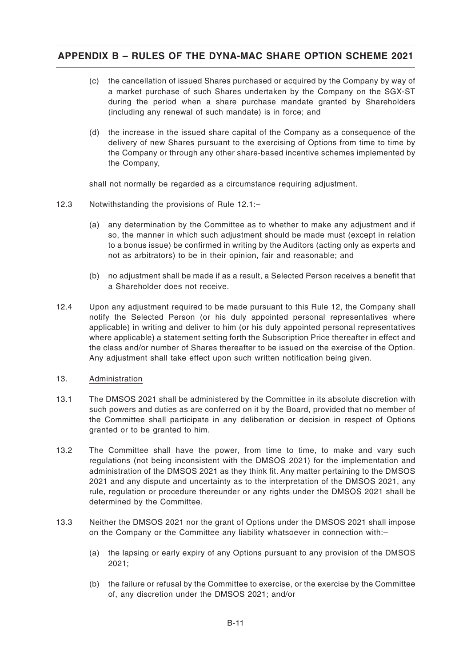- (c) the cancellation of issued Shares purchased or acquired by the Company by way of a market purchase of such Shares undertaken by the Company on the SGX-ST during the period when a share purchase mandate granted by Shareholders (including any renewal of such mandate) is in force; and
- (d) the increase in the issued share capital of the Company as a consequence of the delivery of new Shares pursuant to the exercising of Options from time to time by the Company or through any other share-based incentive schemes implemented by the Company,

shall not normally be regarded as a circumstance requiring adjustment.

- 12.3 Notwithstanding the provisions of Rule 12.1:–
	- (a) any determination by the Committee as to whether to make any adjustment and if so, the manner in which such adjustment should be made must (except in relation to a bonus issue) be confirmed in writing by the Auditors (acting only as experts and not as arbitrators) to be in their opinion, fair and reasonable; and
	- (b) no adjustment shall be made if as a result, a Selected Person receives a benefit that a Shareholder does not receive.
- 12.4 Upon any adjustment required to be made pursuant to this Rule 12, the Company shall notify the Selected Person (or his duly appointed personal representatives where applicable) in writing and deliver to him (or his duly appointed personal representatives where applicable) a statement setting forth the Subscription Price thereafter in effect and the class and/or number of Shares thereafter to be issued on the exercise of the Option. Any adjustment shall take effect upon such written notification being given.
- 13. Administration
- 13.1 The DMSOS 2021 shall be administered by the Committee in its absolute discretion with such powers and duties as are conferred on it by the Board, provided that no member of the Committee shall participate in any deliberation or decision in respect of Options granted or to be granted to him.
- 13.2 The Committee shall have the power, from time to time, to make and vary such regulations (not being inconsistent with the DMSOS 2021) for the implementation and administration of the DMSOS 2021 as they think fit. Any matter pertaining to the DMSOS 2021 and any dispute and uncertainty as to the interpretation of the DMSOS 2021, any rule, regulation or procedure thereunder or any rights under the DMSOS 2021 shall be determined by the Committee.
- 13.3 Neither the DMSOS 2021 nor the grant of Options under the DMSOS 2021 shall impose on the Company or the Committee any liability whatsoever in connection with:–
	- (a) the lapsing or early expiry of any Options pursuant to any provision of the DMSOS 2021;
	- (b) the failure or refusal by the Committee to exercise, or the exercise by the Committee of, any discretion under the DMSOS 2021; and/or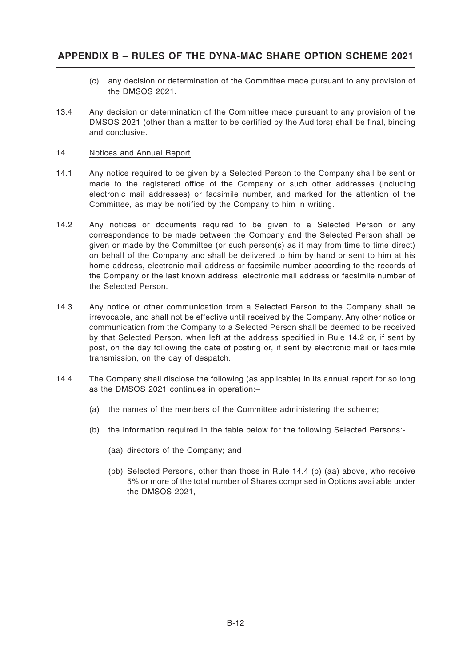- (c) any decision or determination of the Committee made pursuant to any provision of the DMSOS 2021.
- 13.4 Any decision or determination of the Committee made pursuant to any provision of the DMSOS 2021 (other than a matter to be certified by the Auditors) shall be final, binding and conclusive.

### 14. Notices and Annual Report

- 14.1 Any notice required to be given by a Selected Person to the Company shall be sent or made to the registered office of the Company or such other addresses (including electronic mail addresses) or facsimile number, and marked for the attention of the Committee, as may be notified by the Company to him in writing.
- 14.2 Any notices or documents required to be given to a Selected Person or any correspondence to be made between the Company and the Selected Person shall be given or made by the Committee (or such person(s) as it may from time to time direct) on behalf of the Company and shall be delivered to him by hand or sent to him at his home address, electronic mail address or facsimile number according to the records of the Company or the last known address, electronic mail address or facsimile number of the Selected Person.
- 14.3 Any notice or other communication from a Selected Person to the Company shall be irrevocable, and shall not be effective until received by the Company. Any other notice or communication from the Company to a Selected Person shall be deemed to be received by that Selected Person, when left at the address specified in Rule 14.2 or, if sent by post, on the day following the date of posting or, if sent by electronic mail or facsimile transmission, on the day of despatch.
- 14.4 The Company shall disclose the following (as applicable) in its annual report for so long as the DMSOS 2021 continues in operation:–
	- (a) the names of the members of the Committee administering the scheme;
	- (b) the information required in the table below for the following Selected Persons:-
		- (aa) directors of the Company; and
		- (bb) Selected Persons, other than those in Rule 14.4 (b) (aa) above, who receive 5% or more of the total number of Shares comprised in Options available under the DMSOS 2021,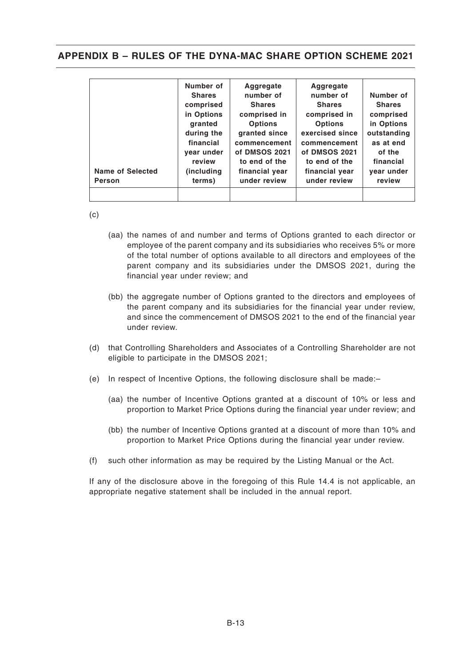| <b>Name of Selected</b><br><b>Person</b> | Number of<br><b>Shares</b><br>comprised<br>in Options<br>granted<br>during the<br>financial<br>vear under<br>review<br>(including)<br>terms) | Aggregate<br>number of<br><b>Shares</b><br>comprised in<br><b>Options</b><br>granted since<br>commencement<br>of DMSOS 2021<br>to end of the<br>financial year<br>under review | <b>Aggregate</b><br>number of<br><b>Shares</b><br>comprised in<br><b>Options</b><br>exercised since<br>commencement<br>of DMSOS 2021<br>to end of the<br>financial year<br>under review | Number of<br><b>Shares</b><br>comprised<br>in Options<br>outstanding<br>as at end<br>of the<br>financial<br>year under<br>review |
|------------------------------------------|----------------------------------------------------------------------------------------------------------------------------------------------|--------------------------------------------------------------------------------------------------------------------------------------------------------------------------------|-----------------------------------------------------------------------------------------------------------------------------------------------------------------------------------------|----------------------------------------------------------------------------------------------------------------------------------|
|------------------------------------------|----------------------------------------------------------------------------------------------------------------------------------------------|--------------------------------------------------------------------------------------------------------------------------------------------------------------------------------|-----------------------------------------------------------------------------------------------------------------------------------------------------------------------------------------|----------------------------------------------------------------------------------------------------------------------------------|

(c)

- (aa) the names of and number and terms of Options granted to each director or employee of the parent company and its subsidiaries who receives 5% or more of the total number of options available to all directors and employees of the parent company and its subsidiaries under the DMSOS 2021, during the financial year under review; and
- (bb) the aggregate number of Options granted to the directors and employees of the parent company and its subsidiaries for the financial year under review, and since the commencement of DMSOS 2021 to the end of the financial year under review.
- (d) that Controlling Shareholders and Associates of a Controlling Shareholder are not eligible to participate in the DMSOS 2021;
- (e) In respect of Incentive Options, the following disclosure shall be made:–
	- (aa) the number of Incentive Options granted at a discount of 10% or less and proportion to Market Price Options during the financial year under review; and
	- (bb) the number of Incentive Options granted at a discount of more than 10% and proportion to Market Price Options during the financial year under review.
- (f) such other information as may be required by the Listing Manual or the Act.

If any of the disclosure above in the foregoing of this Rule 14.4 is not applicable, an appropriate negative statement shall be included in the annual report.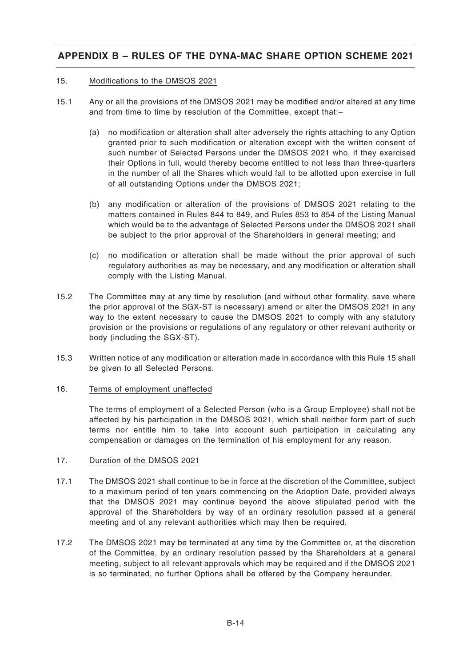#### 15. Modifications to the DMSOS 2021

- 15.1 Any or all the provisions of the DMSOS 2021 may be modified and/or altered at any time and from time to time by resolution of the Committee, except that:–
	- (a) no modification or alteration shall alter adversely the rights attaching to any Option granted prior to such modification or alteration except with the written consent of such number of Selected Persons under the DMSOS 2021 who, if they exercised their Options in full, would thereby become entitled to not less than three-quarters in the number of all the Shares which would fall to be allotted upon exercise in full of all outstanding Options under the DMSOS 2021;
	- (b) any modification or alteration of the provisions of DMSOS 2021 relating to the matters contained in Rules 844 to 849, and Rules 853 to 854 of the Listing Manual which would be to the advantage of Selected Persons under the DMSOS 2021 shall be subject to the prior approval of the Shareholders in general meeting; and
	- (c) no modification or alteration shall be made without the prior approval of such regulatory authorities as may be necessary, and any modification or alteration shall comply with the Listing Manual.
- 15.2 The Committee may at any time by resolution (and without other formality, save where the prior approval of the SGX-ST is necessary) amend or alter the DMSOS 2021 in any way to the extent necessary to cause the DMSOS 2021 to comply with any statutory provision or the provisions or regulations of any regulatory or other relevant authority or body (including the SGX-ST).
- 15.3 Written notice of any modification or alteration made in accordance with this Rule 15 shall be given to all Selected Persons.

### 16. Terms of employment unaffected

The terms of employment of a Selected Person (who is a Group Employee) shall not be affected by his participation in the DMSOS 2021, which shall neither form part of such terms nor entitle him to take into account such participation in calculating any compensation or damages on the termination of his employment for any reason.

### 17. Duration of the DMSOS 2021

- 17.1 The DMSOS 2021 shall continue to be in force at the discretion of the Committee, subject to a maximum period of ten years commencing on the Adoption Date, provided always that the DMSOS 2021 may continue beyond the above stipulated period with the approval of the Shareholders by way of an ordinary resolution passed at a general meeting and of any relevant authorities which may then be required.
- 17.2 The DMSOS 2021 may be terminated at any time by the Committee or, at the discretion of the Committee, by an ordinary resolution passed by the Shareholders at a general meeting, subject to all relevant approvals which may be required and if the DMSOS 2021 is so terminated, no further Options shall be offered by the Company hereunder.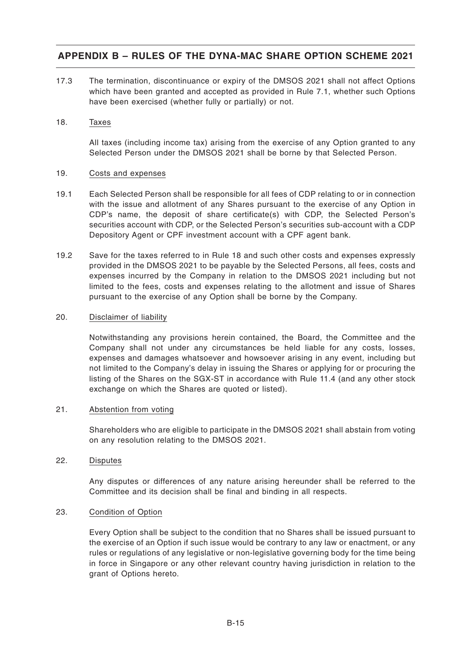17.3 The termination, discontinuance or expiry of the DMSOS 2021 shall not affect Options which have been granted and accepted as provided in Rule 7.1, whether such Options have been exercised (whether fully or partially) or not.

#### 18. Taxes

All taxes (including income tax) arising from the exercise of any Option granted to any Selected Person under the DMSOS 2021 shall be borne by that Selected Person.

#### 19. Costs and expenses

- 19.1 Each Selected Person shall be responsible for all fees of CDP relating to or in connection with the issue and allotment of any Shares pursuant to the exercise of any Option in CDP's name, the deposit of share certificate(s) with CDP, the Selected Person's securities account with CDP, or the Selected Person's securities sub-account with a CDP Depository Agent or CPF investment account with a CPF agent bank.
- 19.2 Save for the taxes referred to in Rule 18 and such other costs and expenses expressly provided in the DMSOS 2021 to be payable by the Selected Persons, all fees, costs and expenses incurred by the Company in relation to the DMSOS 2021 including but not limited to the fees, costs and expenses relating to the allotment and issue of Shares pursuant to the exercise of any Option shall be borne by the Company.

### 20. Disclaimer of liability

Notwithstanding any provisions herein contained, the Board, the Committee and the Company shall not under any circumstances be held liable for any costs, losses, expenses and damages whatsoever and howsoever arising in any event, including but not limited to the Company's delay in issuing the Shares or applying for or procuring the listing of the Shares on the SGX-ST in accordance with Rule 11.4 (and any other stock exchange on which the Shares are quoted or listed).

### 21. Abstention from voting

Shareholders who are eligible to participate in the DMSOS 2021 shall abstain from voting on any resolution relating to the DMSOS 2021.

### 22. Disputes

Any disputes or differences of any nature arising hereunder shall be referred to the Committee and its decision shall be final and binding in all respects.

### 23. Condition of Option

Every Option shall be subject to the condition that no Shares shall be issued pursuant to the exercise of an Option if such issue would be contrary to any law or enactment, or any rules or regulations of any legislative or non-legislative governing body for the time being in force in Singapore or any other relevant country having jurisdiction in relation to the grant of Options hereto.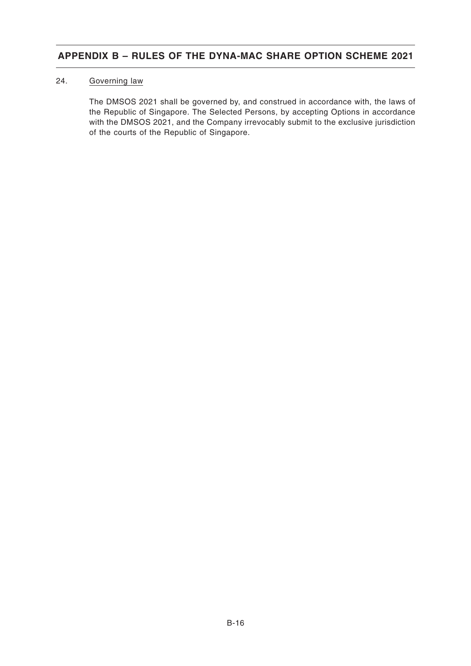### 24. Governing law

The DMSOS 2021 shall be governed by, and construed in accordance with, the laws of the Republic of Singapore. The Selected Persons, by accepting Options in accordance with the DMSOS 2021, and the Company irrevocably submit to the exclusive jurisdiction of the courts of the Republic of Singapore.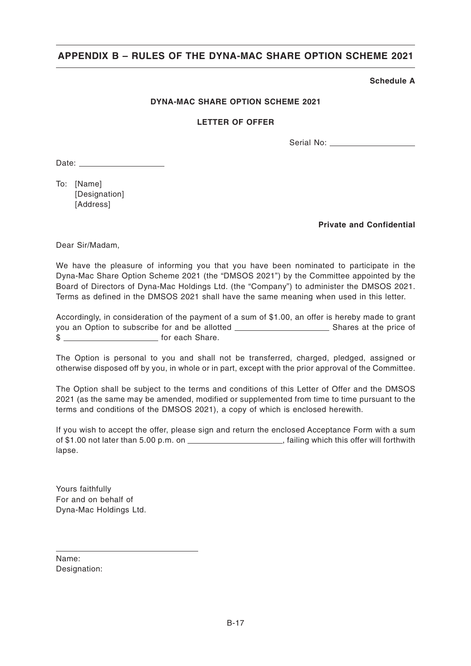### **Schedule A**

### **DYNA-MAC SHARE OPTION SCHEME 2021**

#### **LETTER OF OFFER**

Serial No:

Date:

To: [Name] [Designation] [Address]

**Private and Confidential**

Dear Sir/Madam,

We have the pleasure of informing you that you have been nominated to participate in the Dyna-Mac Share Option Scheme 2021 (the "DMSOS 2021") by the Committee appointed by the Board of Directors of Dyna-Mac Holdings Ltd. (the "Company") to administer the DMSOS 2021. Terms as defined in the DMSOS 2021 shall have the same meaning when used in this letter.

Accordingly, in consideration of the payment of a sum of \$1.00, an offer is hereby made to grant you an Option to subscribe for and be allotted Shares at the price of \$

The Option is personal to you and shall not be transferred, charged, pledged, assigned or otherwise disposed off by you, in whole or in part, except with the prior approval of the Committee.

The Option shall be subject to the terms and conditions of this Letter of Offer and the DMSOS 2021 (as the same may be amended, modified or supplemented from time to time pursuant to the terms and conditions of the DMSOS 2021), a copy of which is enclosed herewith.

If you wish to accept the offer, please sign and return the enclosed Acceptance Form with a sum of \$1.00 not later than 5.00 p.m. on  $\overline{\hspace{1cm}}$  , failing which this offer will forthwith lapse.

Yours faithfully For and on behalf of Dyna-Mac Holdings Ltd.

Name: Designation: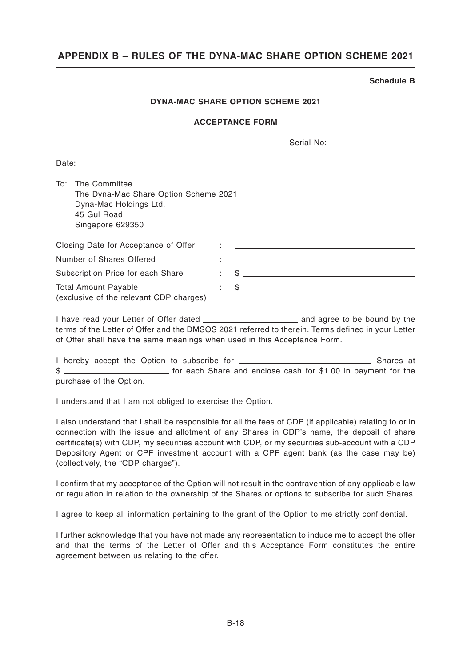#### **Schedule B**

### **DYNA-MAC SHARE OPTION SCHEME 2021**

#### **ACCEPTANCE FORM**

| Serial No: |
|------------|
|------------|

Date:

To: The Committee The Dyna-Mac Share Option Scheme 2021 Dyna-Mac Holdings Ltd. 45 Gul Road, Singapore 629350

| Closing Date for Acceptance of Offer    | $\blacksquare$ |              |
|-----------------------------------------|----------------|--------------|
| Number of Shares Offered                |                |              |
| Subscription Price for each Share       |                | $\mathbb{S}$ |
| <b>Total Amount Payable</b>             |                | $\mathbb{S}$ |
| (exclusive of the relevant CDP charges) |                |              |

I have read your Letter of Offer dated and agree to be bound by the terms of the Letter of Offer and the DMSOS 2021 referred to therein. Terms defined in your Letter of Offer shall have the same meanings when used in this Acceptance Form.

I hereby accept the Option to subscribe for  $\sqrt{1 + \frac{1}{n}}$  Shares at \$ for each Share and enclose cash for \$1.00 in payment for the purchase of the Option.

I understand that I am not obliged to exercise the Option.

I also understand that I shall be responsible for all the fees of CDP (if applicable) relating to or in connection with the issue and allotment of any Shares in CDP's name, the deposit of share certificate(s) with CDP, my securities account with CDP, or my securities sub-account with a CDP Depository Agent or CPF investment account with a CPF agent bank (as the case may be) (collectively, the "CDP charges").

I confirm that my acceptance of the Option will not result in the contravention of any applicable law or regulation in relation to the ownership of the Shares or options to subscribe for such Shares.

I agree to keep all information pertaining to the grant of the Option to me strictly confidential.

I further acknowledge that you have not made any representation to induce me to accept the offer and that the terms of the Letter of Offer and this Acceptance Form constitutes the entire agreement between us relating to the offer.